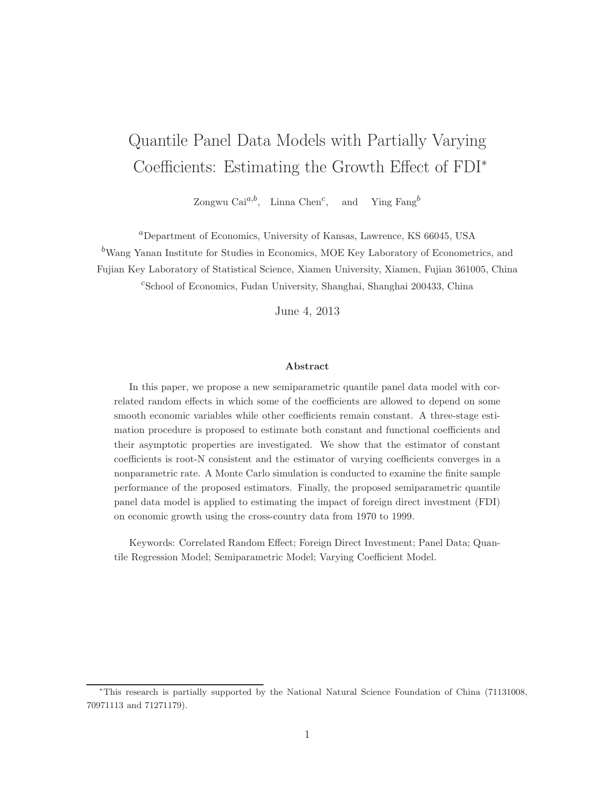# Quantile Panel Data Models with Partially Varying Coefficients: Estimating the Growth Effect of FDI<sup>∗</sup>

Zongwu Cai<sup>a,b</sup>, Linna Chen<sup>c</sup>, and Ying Fang<sup>b</sup>

<sup>a</sup>Department of Economics, University of Kansas, Lawrence, KS 66045, USA

 $b$ Wang Yanan Institute for Studies in Economics, MOE Key Laboratory of Econometrics, and

Fujian Key Laboratory of Statistical Science, Xiamen University, Xiamen, Fujian 361005, China

c School of Economics, Fudan University, Shanghai, Shanghai 200433, China

June 4, 2013

#### Abstract

In this paper, we propose a new semiparametric quantile panel data model with correlated random effects in which some of the coefficients are allowed to depend on some smooth economic variables while other coefficients remain constant. A three-stage estimation procedure is proposed to estimate both constant and functional coefficients and their asymptotic properties are investigated. We show that the estimator of constant coefficients is root-N consistent and the estimator of varying coefficients converges in a nonparametric rate. A Monte Carlo simulation is conducted to examine the finite sample performance of the proposed estimators. Finally, the proposed semiparametric quantile panel data model is applied to estimating the impact of foreign direct investment (FDI) on economic growth using the cross-country data from 1970 to 1999.

Keywords: Correlated Random Effect; Foreign Direct Investment; Panel Data; Quantile Regression Model; Semiparametric Model; Varying Coefficient Model.

<sup>∗</sup>This research is partially supported by the National Natural Science Foundation of China (71131008, 70971113 and 71271179).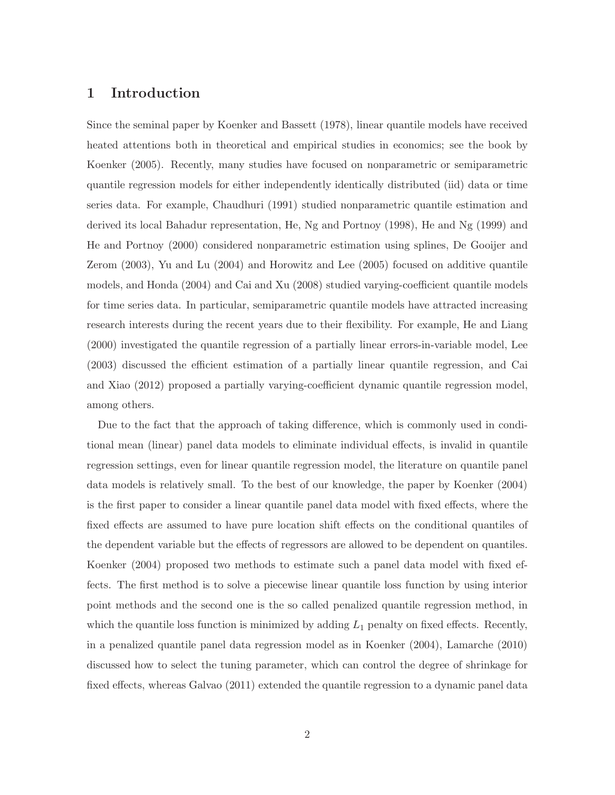### 1 Introduction

Since the seminal paper by Koenker and Bassett (1978), linear quantile models have received heated attentions both in theoretical and empirical studies in economics; see the book by Koenker (2005). Recently, many studies have focused on nonparametric or semiparametric quantile regression models for either independently identically distributed (iid) data or time series data. For example, Chaudhuri (1991) studied nonparametric quantile estimation and derived its local Bahadur representation, He, Ng and Portnoy (1998), He and Ng (1999) and He and Portnoy (2000) considered nonparametric estimation using splines, De Gooijer and Zerom (2003), Yu and Lu (2004) and Horowitz and Lee (2005) focused on additive quantile models, and Honda (2004) and Cai and Xu (2008) studied varying-coefficient quantile models for time series data. In particular, semiparametric quantile models have attracted increasing research interests during the recent years due to their flexibility. For example, He and Liang (2000) investigated the quantile regression of a partially linear errors-in-variable model, Lee (2003) discussed the efficient estimation of a partially linear quantile regression, and Cai and Xiao (2012) proposed a partially varying-coefficient dynamic quantile regression model, among others.

Due to the fact that the approach of taking difference, which is commonly used in conditional mean (linear) panel data models to eliminate individual effects, is invalid in quantile regression settings, even for linear quantile regression model, the literature on quantile panel data models is relatively small. To the best of our knowledge, the paper by Koenker (2004) is the first paper to consider a linear quantile panel data model with fixed effects, where the fixed effects are assumed to have pure location shift effects on the conditional quantiles of the dependent variable but the effects of regressors are allowed to be dependent on quantiles. Koenker (2004) proposed two methods to estimate such a panel data model with fixed effects. The first method is to solve a piecewise linear quantile loss function by using interior point methods and the second one is the so called penalized quantile regression method, in which the quantile loss function is minimized by adding  $L_1$  penalty on fixed effects. Recently, in a penalized quantile panel data regression model as in Koenker (2004), Lamarche (2010) discussed how to select the tuning parameter, which can control the degree of shrinkage for fixed effects, whereas Galvao (2011) extended the quantile regression to a dynamic panel data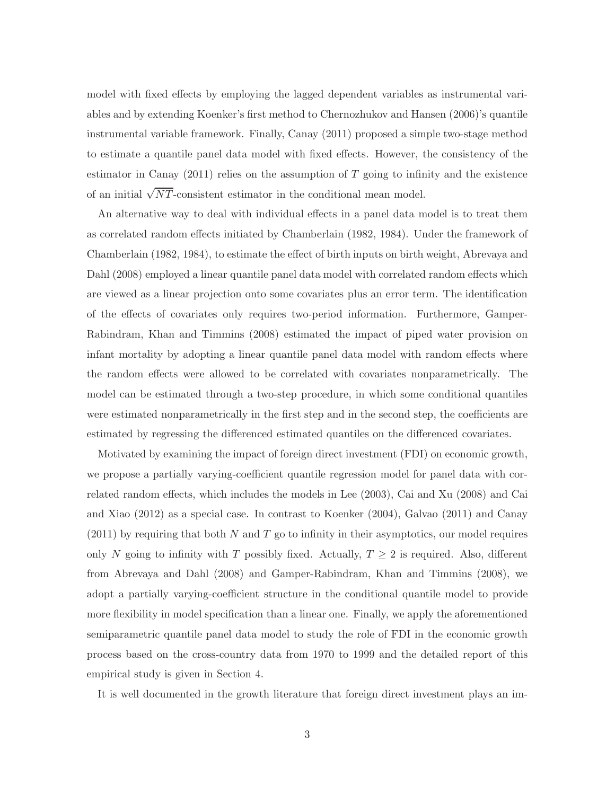model with fixed effects by employing the lagged dependent variables as instrumental variables and by extending Koenker's first method to Chernozhukov and Hansen (2006)'s quantile instrumental variable framework. Finally, Canay (2011) proposed a simple two-stage method to estimate a quantile panel data model with fixed effects. However, the consistency of the estimator in Canay  $(2011)$  relies on the assumption of T going to infinity and the existence of an initial  $\sqrt{NT}$ -consistent estimator in the conditional mean model.

An alternative way to deal with individual effects in a panel data model is to treat them as correlated random effects initiated by Chamberlain (1982, 1984). Under the framework of Chamberlain (1982, 1984), to estimate the effect of birth inputs on birth weight, Abrevaya and Dahl (2008) employed a linear quantile panel data model with correlated random effects which are viewed as a linear projection onto some covariates plus an error term. The identification of the effects of covariates only requires two-period information. Furthermore, Gamper-Rabindram, Khan and Timmins (2008) estimated the impact of piped water provision on infant mortality by adopting a linear quantile panel data model with random effects where the random effects were allowed to be correlated with covariates nonparametrically. The model can be estimated through a two-step procedure, in which some conditional quantiles were estimated nonparametrically in the first step and in the second step, the coefficients are estimated by regressing the differenced estimated quantiles on the differenced covariates.

Motivated by examining the impact of foreign direct investment (FDI) on economic growth, we propose a partially varying-coefficient quantile regression model for panel data with correlated random effects, which includes the models in Lee (2003), Cai and Xu (2008) and Cai and Xiao (2012) as a special case. In contrast to Koenker (2004), Galvao (2011) and Canay  $(2011)$  by requiring that both N and T go to infinity in their asymptotics, our model requires only N going to infinity with T possibly fixed. Actually,  $T \geq 2$  is required. Also, different from Abrevaya and Dahl (2008) and Gamper-Rabindram, Khan and Timmins (2008), we adopt a partially varying-coefficient structure in the conditional quantile model to provide more flexibility in model specification than a linear one. Finally, we apply the aforementioned semiparametric quantile panel data model to study the role of FDI in the economic growth process based on the cross-country data from 1970 to 1999 and the detailed report of this empirical study is given in Section 4.

It is well documented in the growth literature that foreign direct investment plays an im-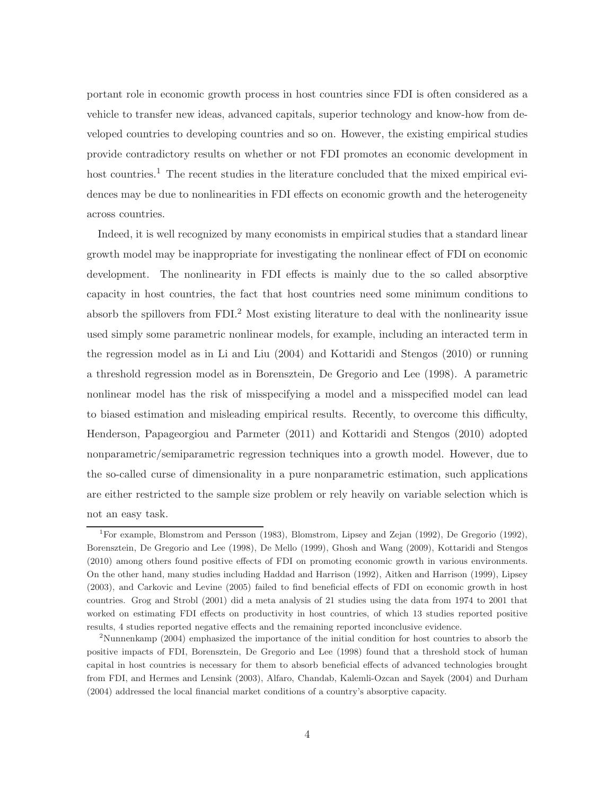portant role in economic growth process in host countries since FDI is often considered as a vehicle to transfer new ideas, advanced capitals, superior technology and know-how from developed countries to developing countries and so on. However, the existing empirical studies provide contradictory results on whether or not FDI promotes an economic development in host countries.<sup>1</sup> The recent studies in the literature concluded that the mixed empirical evidences may be due to nonlinearities in FDI effects on economic growth and the heterogeneity across countries.

Indeed, it is well recognized by many economists in empirical studies that a standard linear growth model may be inappropriate for investigating the nonlinear effect of FDI on economic development. The nonlinearity in FDI effects is mainly due to the so called absorptive capacity in host countries, the fact that host countries need some minimum conditions to absorb the spillovers from FDI.<sup>2</sup> Most existing literature to deal with the nonlinearity issue used simply some parametric nonlinear models, for example, including an interacted term in the regression model as in Li and Liu (2004) and Kottaridi and Stengos (2010) or running a threshold regression model as in Borensztein, De Gregorio and Lee (1998). A parametric nonlinear model has the risk of misspecifying a model and a misspecified model can lead to biased estimation and misleading empirical results. Recently, to overcome this difficulty, Henderson, Papageorgiou and Parmeter (2011) and Kottaridi and Stengos (2010) adopted nonparametric/semiparametric regression techniques into a growth model. However, due to the so-called curse of dimensionality in a pure nonparametric estimation, such applications are either restricted to the sample size problem or rely heavily on variable selection which is not an easy task.

<sup>&</sup>lt;sup>1</sup>For example, Blomstrom and Persson (1983), Blomstrom, Lipsey and Zejan (1992), De Gregorio (1992), Borensztein, De Gregorio and Lee (1998), De Mello (1999), Ghosh and Wang (2009), Kottaridi and Stengos (2010) among others found positive effects of FDI on promoting economic growth in various environments. On the other hand, many studies including Haddad and Harrison (1992), Aitken and Harrison (1999), Lipsey (2003), and Carkovic and Levine (2005) failed to find beneficial effects of FDI on economic growth in host countries. Grog and Strobl (2001) did a meta analysis of 21 studies using the data from 1974 to 2001 that worked on estimating FDI effects on productivity in host countries, of which 13 studies reported positive results, 4 studies reported negative effects and the remaining reported inconclusive evidence.

<sup>2</sup>Nunnenkamp (2004) emphasized the importance of the initial condition for host countries to absorb the positive impacts of FDI, Borensztein, De Gregorio and Lee (1998) found that a threshold stock of human capital in host countries is necessary for them to absorb beneficial effects of advanced technologies brought from FDI, and Hermes and Lensink (2003), Alfaro, Chandab, Kalemli-Ozcan and Sayek (2004) and Durham (2004) addressed the local financial market conditions of a country's absorptive capacity.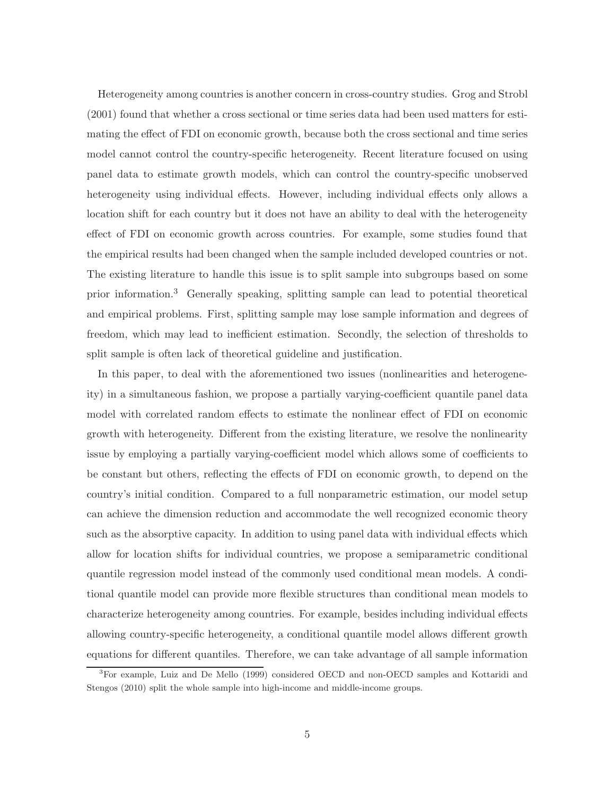Heterogeneity among countries is another concern in cross-country studies. Grog and Strobl (2001) found that whether a cross sectional or time series data had been used matters for estimating the effect of FDI on economic growth, because both the cross sectional and time series model cannot control the country-specific heterogeneity. Recent literature focused on using panel data to estimate growth models, which can control the country-specific unobserved heterogeneity using individual effects. However, including individual effects only allows a location shift for each country but it does not have an ability to deal with the heterogeneity effect of FDI on economic growth across countries. For example, some studies found that the empirical results had been changed when the sample included developed countries or not. The existing literature to handle this issue is to split sample into subgroups based on some prior information.<sup>3</sup> Generally speaking, splitting sample can lead to potential theoretical and empirical problems. First, splitting sample may lose sample information and degrees of freedom, which may lead to inefficient estimation. Secondly, the selection of thresholds to split sample is often lack of theoretical guideline and justification.

In this paper, to deal with the aforementioned two issues (nonlinearities and heterogeneity) in a simultaneous fashion, we propose a partially varying-coefficient quantile panel data model with correlated random effects to estimate the nonlinear effect of FDI on economic growth with heterogeneity. Different from the existing literature, we resolve the nonlinearity issue by employing a partially varying-coefficient model which allows some of coefficients to be constant but others, reflecting the effects of FDI on economic growth, to depend on the country's initial condition. Compared to a full nonparametric estimation, our model setup can achieve the dimension reduction and accommodate the well recognized economic theory such as the absorptive capacity. In addition to using panel data with individual effects which allow for location shifts for individual countries, we propose a semiparametric conditional quantile regression model instead of the commonly used conditional mean models. A conditional quantile model can provide more flexible structures than conditional mean models to characterize heterogeneity among countries. For example, besides including individual effects allowing country-specific heterogeneity, a conditional quantile model allows different growth equations for different quantiles. Therefore, we can take advantage of all sample information

<sup>3</sup>For example, Luiz and De Mello (1999) considered OECD and non-OECD samples and Kottaridi and Stengos (2010) split the whole sample into high-income and middle-income groups.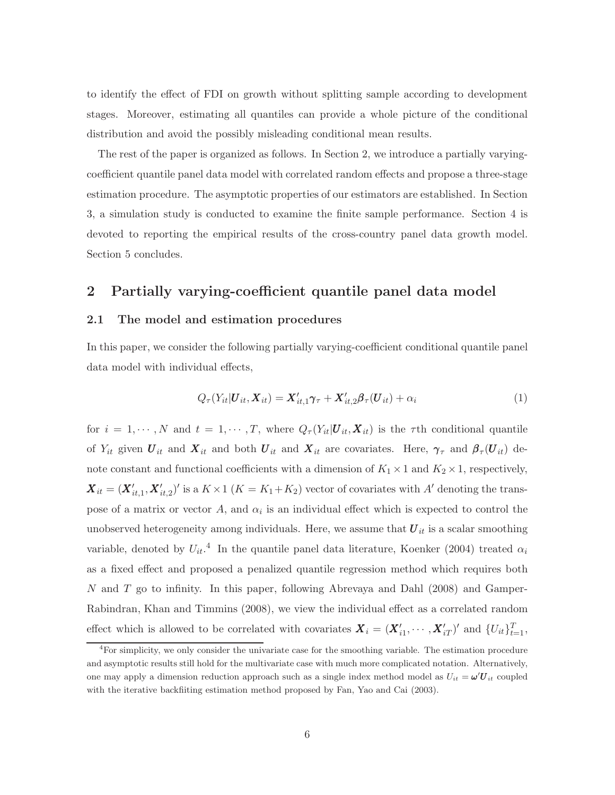to identify the effect of FDI on growth without splitting sample according to development stages. Moreover, estimating all quantiles can provide a whole picture of the conditional distribution and avoid the possibly misleading conditional mean results.

The rest of the paper is organized as follows. In Section 2, we introduce a partially varyingcoefficient quantile panel data model with correlated random effects and propose a three-stage estimation procedure. The asymptotic properties of our estimators are established. In Section 3, a simulation study is conducted to examine the finite sample performance. Section 4 is devoted to reporting the empirical results of the cross-country panel data growth model. Section 5 concludes.

### 2 Partially varying-coefficient quantile panel data model

#### 2.1 The model and estimation procedures

In this paper, we consider the following partially varying-coefficient conditional quantile panel data model with individual effects,

$$
Q_{\tau}(Y_{it}|\boldsymbol{U}_{it},\boldsymbol{X}_{it})=\boldsymbol{X}_{it,1}'\boldsymbol{\gamma}_{\tau}+\boldsymbol{X}_{it,2}'\boldsymbol{\beta}_{\tau}(\boldsymbol{U}_{it})+\alpha_{i}
$$
\n(1)

for  $i = 1, \dots, N$  and  $t = 1, \dots, T$ , where  $Q_{\tau}(Y_{it} | \boldsymbol{U}_{it}, \boldsymbol{X}_{it})$  is the  $\tau$ th conditional quantile of  $Y_{it}$  given  $U_{it}$  and  $X_{it}$  and both  $U_{it}$  and  $X_{it}$  are covariates. Here,  $\gamma_{\tau}$  and  $\beta_{\tau}(U_{it})$  denote constant and functional coefficients with a dimension of  $K_1 \times 1$  and  $K_2 \times 1$ , respectively,  $\boldsymbol{X}_{it} = (\boldsymbol{X}^{\prime}_{it,1}, \boldsymbol{X}^{\prime}_{it,2})^{\prime}$  is a  $K \times 1$   $(K = K_1 + K_2)$  vector of covariates with A' denoting the transpose of a matrix or vector A, and  $\alpha_i$  is an individual effect which is expected to control the unobserved heterogeneity among individuals. Here, we assume that  $U_{it}$  is a scalar smoothing variable, denoted by  $U_{it}$ <sup>4</sup>. In the quantile panel data literature, Koenker (2004) treated  $\alpha_i$ as a fixed effect and proposed a penalized quantile regression method which requires both N and T go to infinity. In this paper, following Abrevaya and Dahl (2008) and Gamper-Rabindran, Khan and Timmins (2008), we view the individual effect as a correlated random effect which is allowed to be correlated with covariates  $\boldsymbol{X}_i = (\boldsymbol{X}'_{i1}, \cdots, \boldsymbol{X}'_{iT})'$  and  $\{U_{it}\}_{t=1}^T$ ,

<sup>&</sup>lt;sup>4</sup>For simplicity, we only consider the univariate case for the smoothing variable. The estimation procedure and asymptotic results still hold for the multivariate case with much more complicated notation. Alternatively, one may apply a dimension reduction approach such as a single index method model as  $U_{it} = \omega' U_{it}$  coupled with the iterative backfiiting estimation method proposed by Fan, Yao and Cai (2003).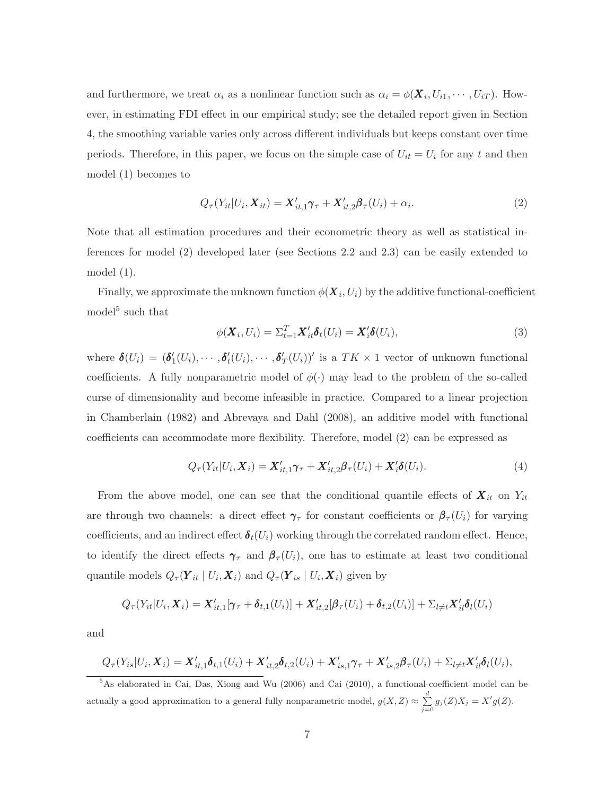and furthermore, we treat  $\alpha_i$  as a nonlinear function such as  $\alpha_i = \phi(\mathbf{X}_i, U_{i1}, \cdots, U_{iT})$ . However, in estimating FDI effect in our empirical study; see the detailed report given in Section 4, the smoothing variable varies only across different individuals but keeps constant over time periods. Therefore, in this paper, we focus on the simple case of  $U_{it} = U_i$  for any t and then model (1) becomes to

$$
Q_{\tau}(Y_{it}|U_i, \boldsymbol{X}_{it}) = \boldsymbol{X}_{it,1}'\boldsymbol{\gamma}_{\tau} + \boldsymbol{X}_{it,2}'\boldsymbol{\beta}_{\tau}(U_i) + \alpha_i.
$$
\n(2)

Note that all estimation procedures and their econometric theory as well as statistical inferences for model (2) developed later (see Sections 2.2 and 2.3) can be easily extended to model (1).

Finally, we approximate the unknown function  $\phi(\boldsymbol{X}_i,U_i)$  by the additive functional-coefficient model<sup>5</sup> such that

$$
\phi(\boldsymbol{X}_i, U_i) = \Sigma_{t=1}^T \boldsymbol{X}'_{it} \boldsymbol{\delta}_t(U_i) = \boldsymbol{X}'_i \boldsymbol{\delta}(U_i), \tag{3}
$$

where  $\boldsymbol{\delta}(U_i) = (\boldsymbol{\delta}'_1(U_i), \cdots, \boldsymbol{\delta}'_t(U_i), \cdots, \boldsymbol{\delta}'_T(U_i))'$  is a  $TK \times 1$  vector of unknown functional coefficients. A fully nonparametric model of  $\phi(\cdot)$  may lead to the problem of the so-called curse of dimensionality and become infeasible in practice. Compared to a linear projection in Chamberlain (1982) and Abrevaya and Dahl (2008), an additive model with functional coefficients can accommodate more flexibility. Therefore, model (2) can be expressed as

$$
Q_{\tau}(Y_{it}|U_i, \boldsymbol{X}_i) = \boldsymbol{X}'_{it,1}\boldsymbol{\gamma}_{\tau} + \boldsymbol{X}'_{it,2}\boldsymbol{\beta}_{\tau}(U_i) + \boldsymbol{X}'_i\boldsymbol{\delta}(U_i). \tag{4}
$$

From the above model, one can see that the conditional quantile effects of  $\boldsymbol{X}_{it}$  on  $Y_{it}$ are through two channels: a direct effect  $\gamma_\tau$  for constant coefficients or  $\beta_\tau(U_i)$  for varying coefficients, and an indirect effect  $\delta_t(U_i)$  working through the correlated random effect. Hence, to identify the direct effects  $\gamma_{\tau}$  and  $\beta_{\tau}(U_i)$ , one has to estimate at least two conditional quantile models  $Q_{\tau}(\boldsymbol{Y}_{it} | U_i, \boldsymbol{X}_i)$  and  $Q_{\tau}(\boldsymbol{Y}_{is} | U_i, \boldsymbol{X}_i)$  given by

$$
Q_{\tau}(Y_{it}|U_i,\boldsymbol{X}_i)=\boldsymbol{X}'_{it,1}[\boldsymbol{\gamma}_{\tau}+\boldsymbol{\delta}_{t,1}(U_i)]+\boldsymbol{X}'_{it,2}[\boldsymbol{\beta}_{\tau}(U_i)+\boldsymbol{\delta}_{t,2}(U_i)]+\Sigma_{l\neq t}\boldsymbol{X}'_{il}\boldsymbol{\delta}_{l}(U_i)
$$

and

$$
Q_{\tau}(Y_{is}|U_i,\boldsymbol{X}_i)=\boldsymbol{X}'_{it,1}\boldsymbol{\delta}_{t,1}(U_i)+\boldsymbol{X}'_{it,2}\boldsymbol{\delta}_{t,2}(U_i)+\boldsymbol{X}'_{is,1}\boldsymbol{\gamma}_{\tau}+\boldsymbol{X}'_{is,2}\boldsymbol{\beta}_{\tau}(U_i)+\Sigma_{l\neq t}\boldsymbol{X}'_{il}\boldsymbol{\delta}_{l}(U_i),
$$

<sup>5</sup>As elaborated in Cai, Das, Xiong and Wu (2006) and Cai (2010), a functional-coefficient model can be actually a good approximation to a general fully nonparametric model,  $g(X, Z) \approx \sum_{j=0}^{d} g_j(Z) X_j = X' g(Z)$ .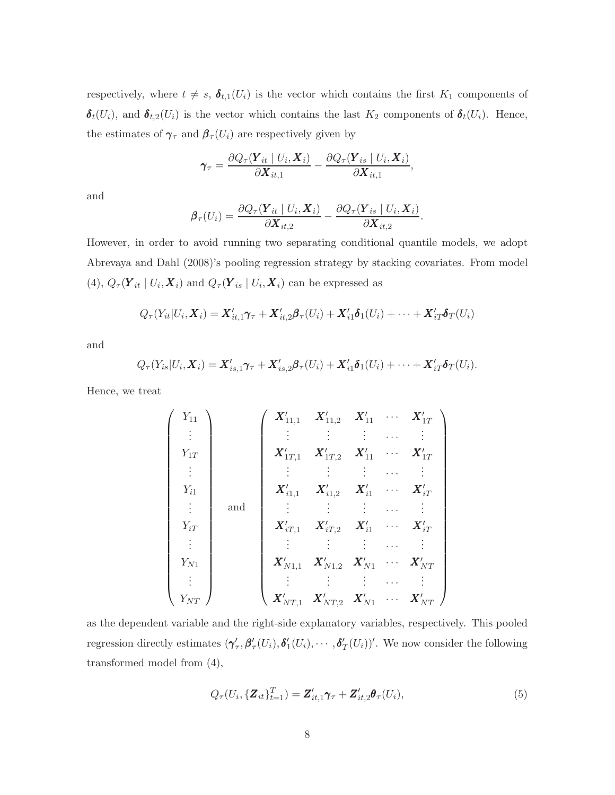respectively, where  $t \neq s$ ,  $\delta_{t,1}(U_i)$  is the vector which contains the first  $K_1$  components of  $\boldsymbol{\delta}_t(U_i)$ , and  $\boldsymbol{\delta}_{t,2}(U_i)$  is the vector which contains the last  $K_2$  components of  $\boldsymbol{\delta}_t(U_i)$ . Hence, the estimates of  $\pmb{\gamma}_{\tau}$  and  $\pmb{\beta}_{\tau}(U_i)$  are respectively given by

$$
\boldsymbol{\gamma}_{\tau} = \frac{\partial Q_{\tau}(\boldsymbol{Y}_{it} \mid U_i, \boldsymbol{X}_i)}{\partial \boldsymbol{X}_{it,1}} - \frac{\partial Q_{\tau}(\boldsymbol{Y}_{is} \mid U_i, \boldsymbol{X}_i)}{\partial \boldsymbol{X}_{it,1}},
$$

and

$$
\boldsymbol{\beta}_{\tau}(U_i) = \frac{\partial Q_{\tau}(\boldsymbol{Y}_{it} \mid U_i, \boldsymbol{X}_i)}{\partial \boldsymbol{X}_{it,2}} - \frac{\partial Q_{\tau}(\boldsymbol{Y}_{is} \mid U_i, \boldsymbol{X}_i)}{\partial \boldsymbol{X}_{it,2}}.
$$

However, in order to avoid running two separating conditional quantile models, we adopt Abrevaya and Dahl (2008)'s pooling regression strategy by stacking covariates. From model (4),  $Q_{\tau}(\boldsymbol{Y}_{it} | U_i, \boldsymbol{X}_i)$  and  $Q_{\tau}(\boldsymbol{Y}_{is} | U_i, \boldsymbol{X}_i)$  can be expressed as

$$
Q_{\tau}(Y_{it}|U_i,\boldsymbol{X}_i)=\boldsymbol{X}'_{it,1}\boldsymbol{\gamma}_{\tau}+\boldsymbol{X}'_{it,2}\boldsymbol{\beta}_{\tau}(U_i)+\boldsymbol{X}'_{i1}\boldsymbol{\delta}_{1}(U_i)+\cdots+\boldsymbol{X}'_{iT}\boldsymbol{\delta}_{T}(U_i)
$$

and

$$
Q_{\tau}(Y_{is}|U_i,\boldsymbol{X}_i)=\boldsymbol{X}_{is,1}'\boldsymbol{\gamma}_{\tau}+\boldsymbol{X}_{is,2}'\boldsymbol{\beta}_{\tau}(U_i)+\boldsymbol{X}_{i1}'\boldsymbol{\delta}_1(U_i)+\cdots+\boldsymbol{X}_{iT}'\boldsymbol{\delta}_T(U_i).
$$

Hence, we treat

$$
\begin{pmatrix}\nY_{11} \\
\vdots \\
Y_{1T} \\
\vdots \\
Y_{i1} \\
Y_{i1} \\
\vdots \\
Y_{iT} \\
Y_{iT} \\
\vdots \\
Y_{N1} \\
Y_{N1}\n\end{pmatrix}\n\begin{pmatrix}\nX'_{11,1} & X'_{11,2} & X'_{11} & \cdots & X'_{1T} \\
\vdots & \vdots & \vdots & \cdots & \vdots \\
X'_{1T,1} & X'_{1T,2} & X'_{11} & \cdots & X'_{1T} \\
\vdots & \vdots & \vdots & \ddots & \vdots \\
X'_{iT,1} & X'_{iT,2} & X'_{i1} & \cdots & X'_{iT} \\
\vdots & \vdots & \vdots & \cdots & \vdots \\
X'_{N1,1} & X'_{N1,2} & X'_{N1} & \cdots & X'_{NT} \\
\vdots & \vdots & \vdots & \cdots & \vdots \\
X'_{NT,1} & X'_{NT,2} & X'_{N1} & \cdots & X'_{NT}\n\end{pmatrix}
$$

as the dependent variable and the right-side explanatory variables, respectively. This pooled regression directly estimates  $(\gamma'_\tau, \beta'_\tau(U_i), \delta'_1(U_i), \cdots, \delta'_T(U_i))'$ . We now consider the following transformed model from (4),

$$
Q_{\tau}(U_i, \{\boldsymbol{Z}_{it}\}_{t=1}^T) = \boldsymbol{Z}_{it,1}'\boldsymbol{\gamma}_{\tau} + \boldsymbol{Z}_{it,2}'\boldsymbol{\theta}_{\tau}(U_i),
$$
\n(5)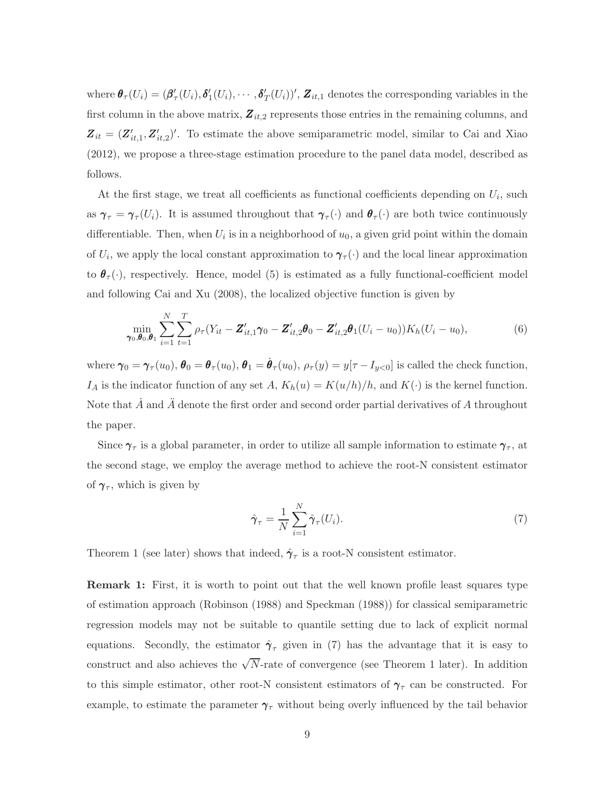where  $\theta_{\tau}(U_i) = (\beta'_{\tau}(U_i), \delta'_{1}(U_i), \cdots, \delta'_{T}(U_i))'$ ,  $\mathbf{Z}_{it,1}$  denotes the corresponding variables in the first column in the above matrix,  $\mathbf{Z}_{it,2}$  represents those entries in the remaining columns, and  $\mathbf{Z}_{it} = (\mathbf{Z}_{it,1}', \mathbf{Z}_{it,2}')'$ . To estimate the above semiparametric model, similar to Cai and Xiao (2012), we propose a three-stage estimation procedure to the panel data model, described as follows.

At the first stage, we treat all coefficients as functional coefficients depending on  $U_i$ , such as  $\gamma_{\tau} = \gamma_{\tau}(U_i)$ . It is assumed throughout that  $\gamma_{\tau}(\cdot)$  and  $\theta_{\tau}(\cdot)$  are both twice continuously differentiable. Then, when  $U_i$  is in a neighborhood of  $u_0$ , a given grid point within the domain of  $U_i$ , we apply the local constant approximation to  $\gamma_\tau(\cdot)$  and the local linear approximation to  $\theta_{\tau}(\cdot)$ , respectively. Hence, model (5) is estimated as a fully functional-coefficient model and following Cai and Xu (2008), the localized objective function is given by

$$
\min_{\gamma_0, \theta_0, \theta_1} \sum_{i=1}^N \sum_{t=1}^T \rho_\tau (Y_{it} - \mathbf{Z}_{it,1}' \boldsymbol{\gamma}_0 - \mathbf{Z}_{it,2}' \boldsymbol{\theta}_0 - \mathbf{Z}_{it,2}' \boldsymbol{\theta}_1 (U_i - u_0)) K_h (U_i - u_0),
$$
\n(6)

where  $\gamma_0 = \gamma_\tau(u_0)$ ,  $\theta_0 = \theta_\tau(u_0)$ ,  $\theta_1 = \dot{\theta}_\tau(u_0)$ ,  $\rho_\tau(y) = y[\tau - I_{y<0}]$  is called the check function,  $I_A$  is the indicator function of any set  $A$ ,  $K_h(u) = K(u/h)/h$ , and  $K(\cdot)$  is the kernel function. Note that  $\tilde{A}$  and  $\tilde{A}$  denote the first order and second order partial derivatives of  $A$  throughout the paper.

Since  $\gamma_{\tau}$  is a global parameter, in order to utilize all sample information to estimate  $\gamma_{\tau}$ , at the second stage, we employ the average method to achieve the root-N consistent estimator of  $\gamma_{\tau}$ , which is given by

$$
\hat{\pmb{\gamma}}_{\tau} = \frac{1}{N} \sum_{i=1}^{N} \hat{\pmb{\gamma}}_{\tau}(U_i). \tag{7}
$$

Theorem 1 (see later) shows that indeed,  $\hat{\gamma}_{\tau}$  is a root-N consistent estimator.

Remark 1: First, it is worth to point out that the well known profile least squares type of estimation approach (Robinson (1988) and Speckman (1988)) for classical semiparametric regression models may not be suitable to quantile setting due to lack of explicit normal equations. Secondly, the estimator  $\hat{\gamma}_{\tau}$  given in (7) has the advantage that it is easy to construct and also achieves the  $\sqrt{N}$ -rate of convergence (see Theorem 1 later). In addition to this simple estimator, other root-N consistent estimators of  $\gamma_\tau$  can be constructed. For example, to estimate the parameter  $\gamma_{\tau}$  without being overly influenced by the tail behavior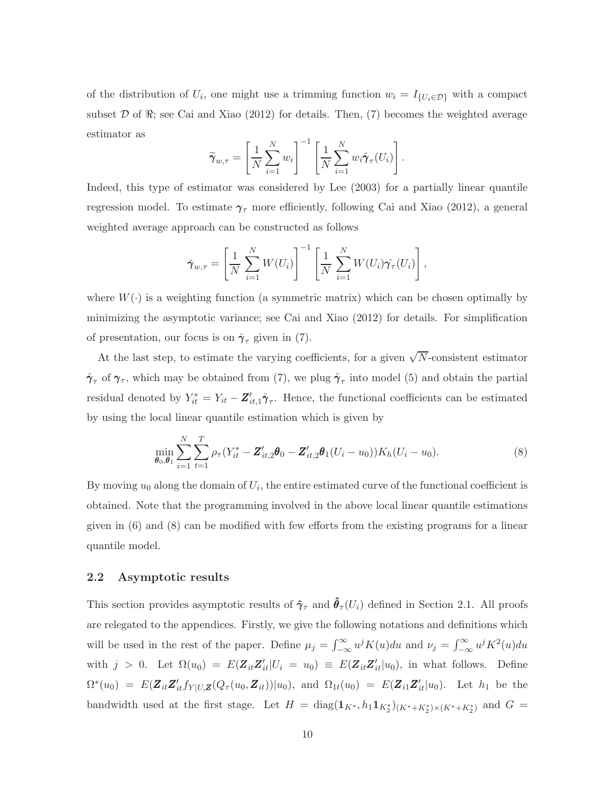of the distribution of  $U_i$ , one might use a trimming function  $w_i = I_{\{U_i \in \mathcal{D}\}}$  with a compact subset  $D$  of  $\Re$ ; see Cai and Xiao (2012) for details. Then, (7) becomes the weighted average estimator as

$$
\widetilde{\boldsymbol{\gamma}}_{w,\tau} = \left[\frac{1}{N} \sum_{i=1}^{N} w_i\right]^{-1} \left[\frac{1}{N} \sum_{i=1}^{N} w_i \hat{\boldsymbol{\gamma}}_{\tau}(U_i)\right].
$$

Indeed, this type of estimator was considered by Lee (2003) for a partially linear quantile regression model. To estimate  $\gamma_{\tau}$  more efficiently, following Cai and Xiao (2012), a general weighted average approach can be constructed as follows

$$
\check{\boldsymbol{\gamma}}_{w,\tau} = \left[\frac{1}{N}\sum_{i=1}^N W(U_i)\right]^{-1} \left[\frac{1}{N}\sum_{i=1}^N W(U_i)\hat{\boldsymbol{\gamma}_\tau}(U_i)\right],
$$

where  $W(\cdot)$  is a weighting function (a symmetric matrix) which can be chosen optimally by minimizing the asymptotic variance; see Cai and Xiao (2012) for details. For simplification of presentation, our focus is on  $\hat{\gamma}_{\tau}$  given in (7).

At the last step, to estimate the varying coefficients, for a given  $\sqrt{N}$ -consistent estimator  $\hat{\gamma}_{\tau}$  of  $\gamma_{\tau}$ , which may be obtained from (7), we plug  $\hat{\gamma}_{\tau}$  into model (5) and obtain the partial residual denoted by  $Y_{it}^* = Y_{it} - \mathbf{Z}_{it,1}' \hat{\boldsymbol{\gamma}}_{\tau}$ . Hence, the functional coefficients can be estimated by using the local linear quantile estimation which is given by

$$
\min_{\boldsymbol{\theta}_0, \boldsymbol{\theta}_1} \sum_{i=1}^N \sum_{t=1}^T \rho_\tau (Y_{it}^* - \boldsymbol{Z}_{it,2}' \boldsymbol{\theta}_0 - \boldsymbol{Z}_{it,2}' \boldsymbol{\theta}_1 (U_i - u_0)) K_h (U_i - u_0).
$$
\n(8)

By moving  $u_0$  along the domain of  $U_i$ , the entire estimated curve of the functional coefficient is obtained. Note that the programming involved in the above local linear quantile estimations given in (6) and (8) can be modified with few efforts from the existing programs for a linear quantile model.

#### 2.2 Asymptotic results

This section provides asymptotic results of  $\hat{\gamma}_{\tau}$  and  $\hat{\theta}_{\tau}(U_i)$  defined in Section 2.1. All proofs are relegated to the appendices. Firstly, we give the following notations and definitions which will be used in the rest of the paper. Define  $\mu_j = \int_{-\infty}^{\infty} u^j K(u) du$  and  $\nu_j = \int_{-\infty}^{\infty} u^j K^2(u) du$ with  $j > 0$ . Let  $\Omega(u_0) = E(\mathbf{Z}_{it} \mathbf{Z}_{it} | U_i = u_0) \equiv E(\mathbf{Z}_{it} \mathbf{Z}_{it} | u_0)$ , in what follows. Define  $\Omega^*(u_0) = E(Z_{it}Z'_{it}f_{Y|U,Z}(Q_{\tau}(u_0,Z_{it}))|u_0)$ , and  $\Omega_{1t}(u_0) = E(Z_{i1}Z'_{it}|u_0)$ . Let  $h_1$  be the bandwidth used at the first stage. Let  $H = \text{diag}(\mathbf{1}_{K^*}, h_1 \mathbf{1}_{K_2^*})_{(K^*+K_2^*)\times (K^*+K_2^*)}$  and  $G =$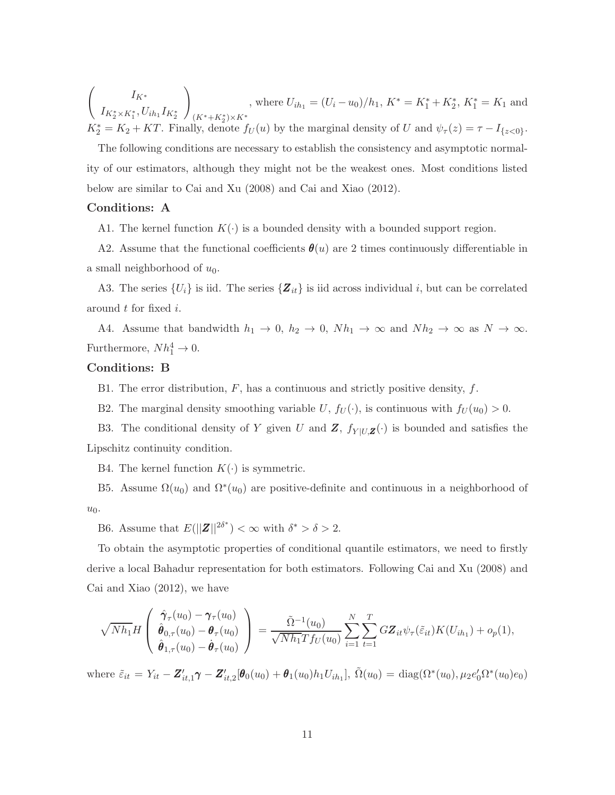$\int \qquad I_{K^*}$  $I_{K_2^*\times K_1^*}, U_{ih_1}I_{K_2^*}$  $\setminus$  $(K^*+K_2^*)\times K^*$ , where  $U_{ih_1} = (U_i - u_0)/h_1$ ,  $K^* = K_1^* + K_2^*$ ,  $K_1^* = K_1$  and  $K_2^* = K_2 + KT$ . Finally, denote  $f_U(u)$  by the marginal density of U and  $\psi_\tau(z) = \tau - I_{\{z < 0\}}$ .

The following conditions are necessary to establish the consistency and asymptotic normality of our estimators, although they might not be the weakest ones. Most conditions listed below are similar to Cai and Xu (2008) and Cai and Xiao (2012).

#### Conditions: A

A1. The kernel function  $K(\cdot)$  is a bounded density with a bounded support region.

A2. Assume that the functional coefficients  $\theta(u)$  are 2 times continuously differentiable in a small neighborhood of  $u_0$ .

A3. The series  $\{U_i\}$  is iid. The series  $\{Z_{it}\}$  is iid across individual i, but can be correlated around t for fixed i.

A4. Assume that bandwidth  $h_1 \to 0$ ,  $h_2 \to 0$ ,  $Nh_1 \to \infty$  and  $Nh_2 \to \infty$  as  $N \to \infty$ . Furthermore,  $Nh_1^4 \rightarrow 0$ .

#### Conditions: B

B1. The error distribution,  $F$ , has a continuous and strictly positive density,  $f$ .

B2. The marginal density smoothing variable U,  $f_U(\cdot)$ , is continuous with  $f_U(u_0) > 0$ .

B3. The conditional density of Y given U and Z,  $f_{Y|U,Z}(\cdot)$  is bounded and satisfies the Lipschitz continuity condition.

B4. The kernel function  $K(\cdot)$  is symmetric.

B5. Assume  $\Omega(u_0)$  and  $\Omega^*(u_0)$  are positive-definite and continuous in a neighborhood of  $u_0$ .

B6. Assume that  $E(||\mathbf{Z}||^{2\delta^*}) < \infty$  with  $\delta^* > \delta > 2$ .

To obtain the asymptotic properties of conditional quantile estimators, we need to firstly derive a local Bahadur representation for both estimators. Following Cai and Xu (2008) and Cai and Xiao (2012), we have

$$
\sqrt{Nh_1}H\left(\begin{array}{c}\hat{\pmb{\gamma}}_{\tau}(u_0)-\pmb{\gamma}_{\tau}(u_0)\\ \hat{\pmb{\theta}}_{0,\tau}(u_0)-\pmb{\theta}_{\tau}(u_0)\\ \hat{\pmb{\theta}}_{1,\tau}(u_0)-\dot{\pmb{\theta}}_{\tau}(u_0)\end{array}\right)=\frac{\tilde{\Omega}^{-1}(u_0)}{\sqrt{Nh_1}Tf_U(u_0)}\sum_{i=1}^N\sum_{t=1}^T G\pmb{Z}_{it}\psi_{\tau}(\tilde{\varepsilon}_{it})K(U_{ih_1})+o_p(1),
$$

where  $\tilde{\varepsilon}_{it} = Y_{it} - \mathbf{Z}_{it,1}'\boldsymbol{\gamma} - \mathbf{Z}_{it,2}'[\boldsymbol{\theta}_0(u_0) + \boldsymbol{\theta}_1(u_0)h_1U_{ih_1}], \tilde{\Omega}(u_0) = \text{diag}(\Omega^*(u_0), \mu_2 e_0' \Omega^*(u_0) e_0)$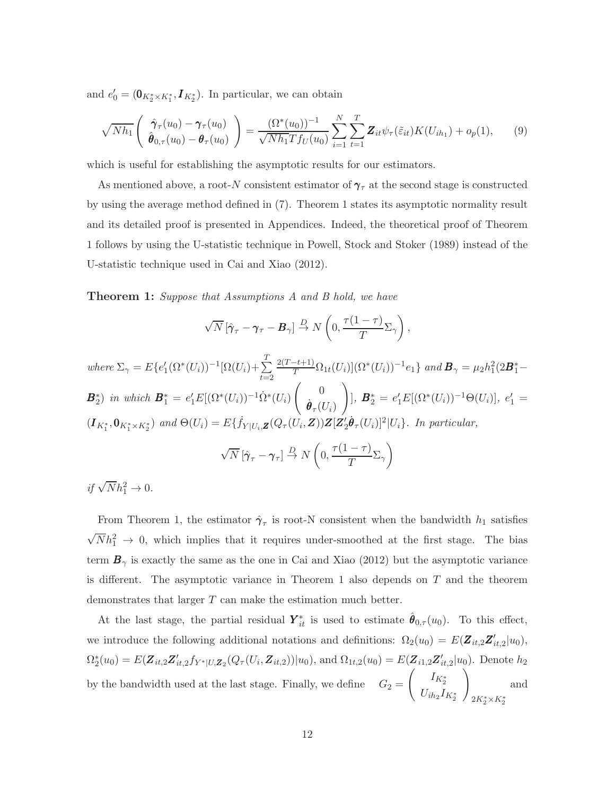and  $e'_0 = (\mathbf{0}_{K_2^* \times K_1^*}, \mathbf{I}_{K_2^*})$ . In particular, we can obtain

$$
\sqrt{Nh_1} \left( \begin{array}{c} \hat{\pmb{\gamma}}_{\tau}(u_0) - \pmb{\gamma}_{\tau}(u_0) \\ \hat{\pmb{\theta}}_{0,\tau}(u_0) - \pmb{\theta}_{\tau}(u_0) \end{array} \right) = \frac{(\Omega^*(u_0))^{-1}}{\sqrt{Nh_1}Tf_U(u_0)} \sum_{i=1}^N \sum_{t=1}^T \pmb{Z}_{it} \psi_{\tau}(\tilde{\varepsilon}_{it}) K(U_{ih_1}) + o_p(1), \qquad (9)
$$

which is useful for establishing the asymptotic results for our estimators.

As mentioned above, a root-N consistent estimator of  $\gamma_\tau$  at the second stage is constructed by using the average method defined in (7). Theorem 1 states its asymptotic normality result and its detailed proof is presented in Appendices. Indeed, the theoretical proof of Theorem 1 follows by using the U-statistic technique in Powell, Stock and Stoker (1989) instead of the U-statistic technique used in Cai and Xiao (2012).

**Theorem 1:** Suppose that Assumptions A and B hold, we have

$$
\sqrt{N}\left[\hat{\pmb{\gamma}}_{\tau}-\pmb{\gamma}_{\tau}-\pmb{B}_{\gamma}\right]\stackrel{D}{\rightarrow} N\left(0,\frac{\tau(1-\tau)}{T}\Sigma_{\gamma}\right),\,
$$

where  $\Sigma_{\gamma} = E\{e'_1(\Omega^*(U_i))^{-1}[\Omega(U_i)+\sum_{i=1}^T$  $_{t=2}$  $\frac{2(T-t+1)}{T} \Omega_{1t}(U_i) |(\Omega^*(U_i))^{-1} e_1\}$  and  $\mathbf{B}_{\gamma} = \mu_2 h_1^2 (2\mathbf{B}_1^* B_2^*$ ) in which  $B_1^* = e'_1 E[(\Omega^*(U_i))^{-1} \dot{\Omega}^*(U_i)]$  $\begin{pmatrix} 0 \\ 0 \end{pmatrix}$  $\dot{\boldsymbol{\theta}}_\tau (U_i)$  $\setminus$ ], **B**<sup>\*</sup><sub>2</sub> = e'<sub>1</sub>E[(Ω<sup>\*</sup>(U<sub>i</sub>))<sup>-1</sup>Θ(U<sub>i</sub>)], e'<sub>1</sub> =  $(I_{K_1^*}, \mathbf{0}_{K_1^* \times K_2^*})$  and  $\Theta(U_i) = E\{f_{Y|U_i, \mathbf{Z}}(Q_\tau(U_i, \mathbf{Z}))\mathbf{Z}[\mathbf{Z}_2'\mathbf{\dot{\theta}}_\tau(U_i)]^2|U_i\}$ . In particular,

$$
\sqrt{N} \left[ \hat{\gamma}_{\tau} - \gamma_{\tau} \right] \stackrel{D}{\rightarrow} N \left( 0, \frac{\tau (1 - \tau)}{T} \Sigma_{\gamma} \right)
$$

if  $\sqrt{N}h_1^2 \to 0$ .

From Theorem 1, the estimator  $\hat{\gamma}_{\tau}$  is root-N consistent when the bandwidth  $h_1$  satisfies  $\sqrt{N}h_1^2 \rightarrow 0$ , which implies that it requires under-smoothed at the first stage. The bias term  $\mathbf{B}_{\gamma}$  is exactly the same as the one in Cai and Xiao (2012) but the asymptotic variance is different. The asymptotic variance in Theorem 1 also depends on  $T$  and the theorem demonstrates that larger T can make the estimation much better.

At the last stage, the partial residual  $\bm{Y}_{it}^*$  is used to estimate  $\hat{\bm{\theta}}_{0,\tau}(u_0)$ . To this effect, we introduce the following additional notations and definitions:  $\Omega_2(u_0) = E(\mathbf{Z}_{it,2} \mathbf{Z}_{it,2}' | u_0),$  $\Omega_2^*(u_0) = E(\mathbf{Z}_{it,2}\mathbf{Z}_{it,2}'f_{Y^*|U,\mathbf{Z}_2}(Q_\tau(U_i,\mathbf{Z}_{it,2}))|u_0)$ , and  $\Omega_{1t,2}(u_0) = E(\mathbf{Z}_{i1,2}\mathbf{Z}_{it,2}'|u_0)$ . Denote  $h_2$ by the bandwidth used at the last stage. Finally, we define  $\,$  $\begin{pmatrix} I_{K_2^*} & \cdots & I_{K_n^*} \end{pmatrix}$  $U_{ih_2}I_{K_2^{\ast}}$ !  $2K_2^* \times K_2^*$  $\dot{2}$ and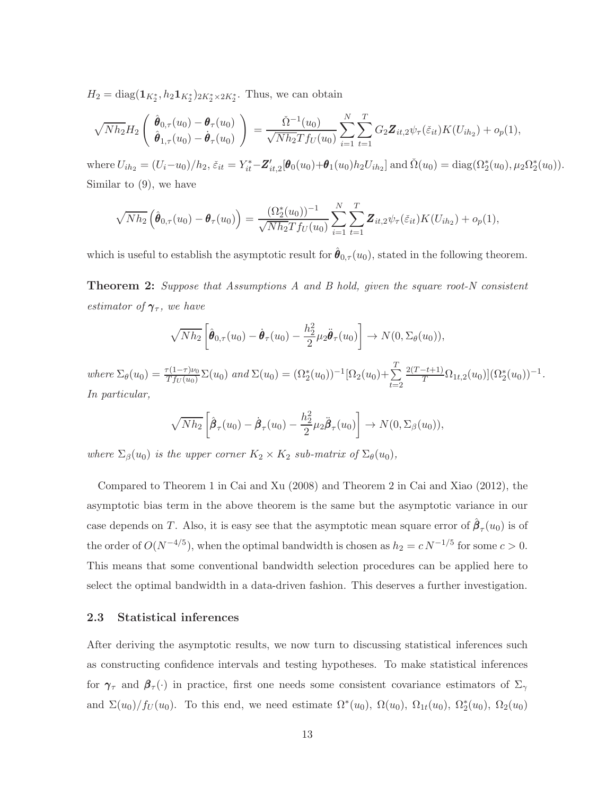$H_2 = \text{diag}(\mathbf{1}_{K_2^*}, h_2 \mathbf{1}_{K_2^*})_{2K_2^* \times 2K_2^*}$ . Thus, we can obtain

$$
\sqrt{Nh_2}H_2\left(\begin{array}{c}\hat{\theta}_{0,\tau}(u_0)-\theta_{\tau}(u_0)\\ \hat{\theta}_{1,\tau}(u_0)-\hat{\theta}_{\tau}(u_0)\end{array}\right)=\frac{\check{\Omega}^{-1}(u_0)}{\sqrt{Nh_2}Tf_U(u_0)}\sum_{i=1}^N\sum_{t=1}^T G_2\mathbf{Z}_{it,2}\psi_{\tau}(\check{\varepsilon}_{it})K(U_{ih_2})+o_p(1),
$$

where  $U_{ih2} = (U_i - u_0)/h_2$ ,  $\varepsilon_{it} = Y_{it}^* - Z_{it,2}'[\theta_0(u_0) + \theta_1(u_0)h_2 U_{ih2}]$  and  $\check{\Omega}(u_0) = \text{diag}(\Omega_2^*(u_0), \mu_2 \Omega_2^*(u_0))$ . Similar to (9), we have

$$
\sqrt{Nh_2}\left(\hat{\boldsymbol{\theta}}_{0,\tau}(u_0) - \boldsymbol{\theta}_{\tau}(u_0)\right) = \frac{(\Omega_2^*(u_0))^{-1}}{\sqrt{Nh_2}Tf_U(u_0)}\sum_{i=1}^N\sum_{t=1}^T \mathbf{Z}_{it,2}\psi_\tau(\check{\varepsilon}_{it})K(U_{ih_2}) + o_p(1),
$$

which is useful to establish the asymptotic result for  $\hat{\theta}_{0,\tau}(u_0)$ , stated in the following theorem.

**Theorem 2:** Suppose that Assumptions A and B hold, given the square root-N consistent estimator of  $\gamma_{\tau}$ , we have

$$
\sqrt{Nh_2}\left[\hat{\boldsymbol{\theta}}_{0,\tau}(u_0)-\hat{\boldsymbol{\theta}}_{\tau}(u_0)-\frac{h_2^2}{2}\mu_2\ddot{\boldsymbol{\theta}}_{\tau}(u_0)\right]\rightarrow N(0,\Sigma_{\theta}(u_0)),
$$

where  $\Sigma_{\theta}(u_0) = \frac{\tau(1-\tau)\nu_0}{Tf_U(u_0)}\Sigma(u_0)$  and  $\Sigma(u_0) = (\Omega_2^*(u_0))^{-1}[\Omega_2(u_0) + \sum_{k=0}^T \Omega_k^k]$  $t=2$  $\frac{2(T-t+1)}{T} \Omega_{1t,2}(u_0) \, \big( \Omega_2^*(u_0) \big)^{-1}.$ In particular,

$$
\sqrt{Nh_2}\left[\hat{\boldsymbol{\beta}}_{\tau}(u_0)-\hat{\boldsymbol{\beta}}_{\tau}(u_0)-\frac{h_2^2}{2}\mu_2\ddot{\boldsymbol{\beta}}_{\tau}(u_0)\right]\rightarrow N(0,\Sigma_{\beta}(u_0)),
$$

where  $\Sigma_{\beta}(u_0)$  is the upper corner  $K_2 \times K_2$  sub-matrix of  $\Sigma_{\theta}(u_0)$ ,

Compared to Theorem 1 in Cai and Xu (2008) and Theorem 2 in Cai and Xiao (2012), the asymptotic bias term in the above theorem is the same but the asymptotic variance in our case depends on T. Also, it is easy see that the asymptotic mean square error of  $\hat{\beta}_{\tau}(u_0)$  is of the order of  $O(N^{-4/5})$ , when the optimal bandwidth is chosen as  $h_2 = c N^{-1/5}$  for some  $c > 0$ . This means that some conventional bandwidth selection procedures can be applied here to select the optimal bandwidth in a data-driven fashion. This deserves a further investigation.

#### 2.3 Statistical inferences

After deriving the asymptotic results, we now turn to discussing statistical inferences such as constructing confidence intervals and testing hypotheses. To make statistical inferences for  $\gamma_{\tau}$  and  $\beta_{\tau}(\cdot)$  in practice, first one needs some consistent covariance estimators of  $\Sigma_{\gamma}$ and  $\Sigma(u_0)/f_U(u_0)$ . To this end, we need estimate  $\Omega^*(u_0)$ ,  $\Omega(u_0)$ ,  $\Omega_{1t}(u_0)$ ,  $\Omega_2^*(u_0)$ ,  $\Omega_2(u_0)$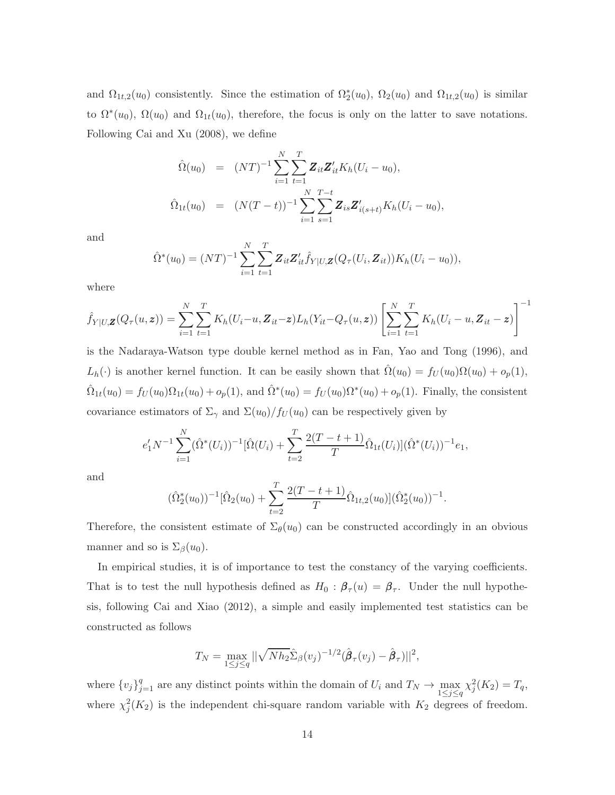and  $\Omega_{1t,2}(u_0)$  consistently. Since the estimation of  $\Omega_2^*(u_0)$ ,  $\Omega_2(u_0)$  and  $\Omega_{1t,2}(u_0)$  is similar to  $\Omega^*(u_0)$ ,  $\Omega(u_0)$  and  $\Omega_{1t}(u_0)$ , therefore, the focus is only on the latter to save notations. Following Cai and Xu (2008), we define

$$
\hat{\Omega}(u_0) = (NT)^{-1} \sum_{i=1}^N \sum_{t=1}^T \mathbf{Z}_{it} \mathbf{Z}'_{it} K_h (U_i - u_0),
$$
  

$$
\hat{\Omega}_{1t}(u_0) = (N(T - t))^{-1} \sum_{i=1}^N \sum_{s=1}^{T-t} \mathbf{Z}_{is} \mathbf{Z}'_{i(s+t)} K_h (U_i - u_0),
$$

and

$$
\hat{\Omega}^*(u_0) = (NT)^{-1} \sum_{i=1}^N \sum_{t=1}^T \mathbf{Z}_{it} \mathbf{Z}_{it}' \hat{f}_{Y|U,\mathbf{Z}}(Q_\tau(U_i, \mathbf{Z}_{it})) K_h(U_i - u_0)),
$$

where

$$
\hat{f}_{Y|U,\mathbf{Z}}(Q_{\tau}(u,\mathbf{z})) = \sum_{i=1}^{N} \sum_{t=1}^{T} K_h(U_i-u,\mathbf{Z}_{it}-\mathbf{z}) L_h(Y_{it}-Q_{\tau}(u,\mathbf{z})) \left[ \sum_{i=1}^{N} \sum_{t=1}^{T} K_h(U_i-u,\mathbf{Z}_{it}-\mathbf{z}) \right]^{-1}
$$

is the Nadaraya-Watson type double kernel method as in Fan, Yao and Tong (1996), and  $L_h(\cdot)$  is another kernel function. It can be easily shown that  $\hat{\Omega}(u_0) = f_U(u_0)\Omega(u_0) + o_p(1)$ ,  $\hat{\Omega}_{1t}(u_0) = f_U(u_0)\Omega_{1t}(u_0) + o_p(1)$ , and  $\hat{\Omega}^*(u_0) = f_U(u_0)\Omega^*(u_0) + o_p(1)$ . Finally, the consistent covariance estimators of  $\Sigma_{\gamma}$  and  $\Sigma(u_0)/f_U(u_0)$  can be respectively given by

$$
e'_1 N^{-1} \sum_{i=1}^N (\hat{\Omega}^*(U_i))^{-1} [\hat{\Omega}(U_i) + \sum_{t=2}^T \frac{2(T - t + 1)}{T} \hat{\Omega}_{1t}(U_i)] (\hat{\Omega}^*(U_i))^{-1} e_1,
$$

and

$$
(\hat{\Omega}_2^*(u_0))^{-1}[\hat{\Omega}_2(u_0)+\sum_{t=2}^T\frac{2(T-t+1)}{T}\hat{\Omega}_{1t,2}(u_0)](\hat{\Omega}_2^*(u_0))^{-1}.
$$

Therefore, the consistent estimate of  $\Sigma_{\theta}(u_0)$  can be constructed accordingly in an obvious manner and so is  $\Sigma_{\beta}(u_0)$ .

In empirical studies, it is of importance to test the constancy of the varying coefficients. That is to test the null hypothesis defined as  $H_0$ :  $\beta_\tau(u) = \beta_\tau$ . Under the null hypothesis, following Cai and Xiao (2012), a simple and easily implemented test statistics can be constructed as follows

$$
T_N = \max_{1 \le j \le q} ||\sqrt{Nh_2}\hat{\Sigma}_{\beta}(v_j)^{-1/2}(\hat{\beta}_{\tau}(v_j) - \hat{\beta}_{\tau})||^2,
$$

where  $\{v_j\}_{j=1}^q$  are any distinct points within the domain of  $U_i$  and  $T_N \to \max_{1 \le j \le q} \chi_j^2(K_2) = T_q$ , where  $\chi_j^2(K_2)$  is the independent chi-square random variable with  $K_2$  degrees of freedom.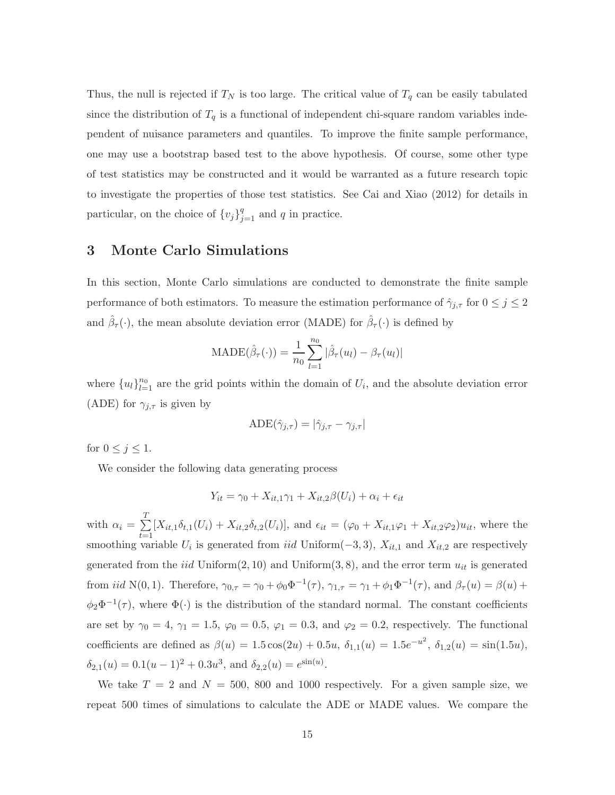Thus, the null is rejected if  $T_N$  is too large. The critical value of  $T_q$  can be easily tabulated since the distribution of  $T_q$  is a functional of independent chi-square random variables independent of nuisance parameters and quantiles. To improve the finite sample performance, one may use a bootstrap based test to the above hypothesis. Of course, some other type of test statistics may be constructed and it would be warranted as a future research topic to investigate the properties of those test statistics. See Cai and Xiao (2012) for details in particular, on the choice of  ${v_j}_{j=1}^q$  and q in practice.

### 3 Monte Carlo Simulations

In this section, Monte Carlo simulations are conducted to demonstrate the finite sample performance of both estimators. To measure the estimation performance of  $\hat{\gamma}_{j,\tau}$  for  $0 \leq j \leq 2$ and  $\hat{\beta}_{\tau}(\cdot)$ , the mean absolute deviation error (MADE) for  $\hat{\beta}_{\tau}(\cdot)$  is defined by

$$
\text{MADE}(\hat{\beta}_{\tau}(\cdot)) = \frac{1}{n_0} \sum_{l=1}^{n_0} |\hat{\beta}_{\tau}(u_l) - \beta_{\tau}(u_l)|
$$

where  ${u_l}_{l=1}^{n_0}$  are the grid points within the domain of  $U_i$ , and the absolute deviation error (ADE) for  $\gamma_{i,\tau}$  is given by

$$
\text{ADE}(\hat{\gamma}_{j,\tau}) = |\hat{\gamma}_{j,\tau} - \gamma_{j,\tau}|
$$

for  $0 \leq j \leq 1$ .

We consider the following data generating process

$$
Y_{it} = \gamma_0 + X_{it,1}\gamma_1 + X_{it,2}\beta(U_i) + \alpha_i + \epsilon_{it}
$$

with  $\alpha_i = \sum^T$  $\sum_{t=1} [X_{it,1}\delta_{t,1}(U_i) + X_{it,2}\delta_{t,2}(U_i)],$  and  $\epsilon_{it} = (\varphi_0 + X_{it,1}\varphi_1 + X_{it,2}\varphi_2)u_{it}$ , where the smoothing variable  $U_i$  is generated from  $iid$  Uniform( $-3, 3$ ),  $X_{it,1}$  and  $X_{it,2}$  are respectively generated from the *iid* Uniform $(2, 10)$  and Uniform $(3, 8)$ , and the error term  $u_{it}$  is generated from *iid* N(0, 1). Therefore,  $\gamma_{0,\tau} = \gamma_0 + \phi_0 \Phi^{-1}(\tau)$ ,  $\gamma_{1,\tau} = \gamma_1 + \phi_1 \Phi^{-1}(\tau)$ , and  $\beta_{\tau}(u) = \beta(u) + \beta(u)$  $\phi_2\Phi^{-1}(\tau)$ , where  $\Phi(\cdot)$  is the distribution of the standard normal. The constant coefficients are set by  $\gamma_0 = 4$ ,  $\gamma_1 = 1.5$ ,  $\varphi_0 = 0.5$ ,  $\varphi_1 = 0.3$ , and  $\varphi_2 = 0.2$ , respectively. The functional coefficients are defined as  $\beta(u) = 1.5 \cos(2u) + 0.5u$ ,  $\delta_{1,1}(u) = 1.5e^{-u^2}$ ,  $\delta_{1,2}(u) = \sin(1.5u)$ ,  $\delta_{2,1}(u) = 0.1(u-1)^2 + 0.3u^3$ , and  $\delta_{2,2}(u) = e^{\sin(u)}$ .

We take  $T = 2$  and  $N = 500$ , 800 and 1000 respectively. For a given sample size, we repeat 500 times of simulations to calculate the ADE or MADE values. We compare the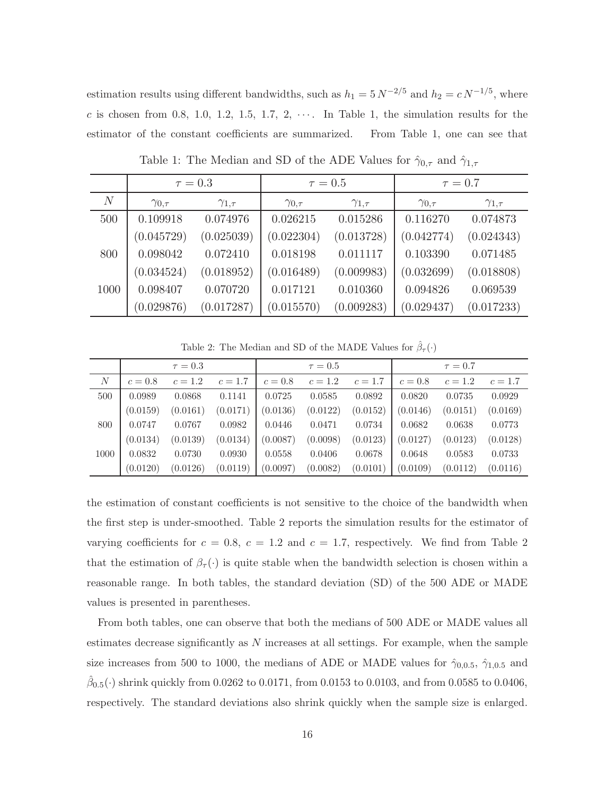estimation results using different bandwidths, such as  $h_1 = 5 N^{-2/5}$  and  $h_2 = c N^{-1/5}$ , where c is chosen from 0.8, 1.0, 1.2, 1.5, 1.7, 2,  $\cdots$ . In Table 1, the simulation results for the estimator of the constant coefficients are summarized. From Table 1, one can see that

|      | $\tau = 0.3$      |                   |                   | $\tau = 0.5$      | $\tau = 0.7$      |                   |
|------|-------------------|-------------------|-------------------|-------------------|-------------------|-------------------|
| N    | $\gamma_{0,\tau}$ | $\gamma_{1,\tau}$ | $\gamma_{0,\tau}$ | $\gamma_{1,\tau}$ | $\gamma_{0,\tau}$ | $\gamma_{1,\tau}$ |
| 500  | 0.109918          | 0.074976          | 0.026215          | 0.015286          | 0.116270          | 0.074873          |
|      | (0.045729)        | (0.025039)        | (0.022304)        | (0.013728)        | (0.042774)        | (0.024343)        |
| 800  | 0.098042          | 0.072410          | 0.018198          | 0.011117          | 0.103390          | 0.071485          |
|      | (0.034524)        | (0.018952)        | (0.016489)        | (0.009983)        | (0.032699)        | (0.018808)        |
| 1000 | 0.098407          | 0.070720          | 0.017121          | 0.010360          | 0.094826          | 0.069539          |
|      | (0.029876)        | (0.017287)        | (0.015570)        | (0.009283)        | (0.029437)        | (0.017233)        |

Table 1: The Median and SD of the ADE Values for  $\hat{\gamma}_{0,\tau}$  and  $\hat{\gamma}_{1,\tau}$ 

Table 2: The Median and SD of the MADE Values for  $\hat{\beta}_{\tau}(\cdot)$ 

|                  |          | $\tau = 0.3$ |           |          | $\tau = 0.5$ |           |          | $\tau = 0.7$ |           |
|------------------|----------|--------------|-----------|----------|--------------|-----------|----------|--------------|-----------|
| $\boldsymbol{N}$ | $c=0.8$  | $c = 1.2$    | $c = 1.7$ | $c=0.8$  | $c=1.2$      | $c = 1.7$ | $c=0.8$  | $c = 1.2$    | $c = 1.7$ |
| 500              | 0.0989   | 0.0868       | 0.1141    | 0.0725   | 0.0585       | 0.0892    | 0.0820   | 0.0735       | 0.0929    |
|                  | (0.0159) | (0.0161)     | (0.0171)  | (0.0136) | (0.0122)     | (0.0152)  | (0.0146) | (0.0151)     | (0.0169)  |
| 800              | 0.0747   | 0.0767       | 0.0982    | 0.0446   | 0.0471       | 0.0734    | 0.0682   | 0.0638       | 0.0773    |
|                  | (0.0134) | (0.0139)     | (0.0134)  | (0.0087) | (0.0098)     | (0.0123)  | (0.0127) | (0.0123)     | (0.0128)  |
| 1000             | 0.0832   | 0.0730       | 0.0930    | 0.0558   | 0.0406       | 0.0678    | 0.0648   | 0.0583       | 0.0733    |
|                  | (0.0120) | (0.0126)     | (0.0119)  | (0.0097) | (0.0082)     | (0.0101)  | (0.0109) | (0.0112)     | (0.0116)  |

the estimation of constant coefficients is not sensitive to the choice of the bandwidth when the first step is under-smoothed. Table 2 reports the simulation results for the estimator of varying coefficients for  $c = 0.8$ ,  $c = 1.2$  and  $c = 1.7$ , respectively. We find from Table 2 that the estimation of  $\beta_{\tau}(\cdot)$  is quite stable when the bandwidth selection is chosen within a reasonable range. In both tables, the standard deviation (SD) of the 500 ADE or MADE values is presented in parentheses.

From both tables, one can observe that both the medians of 500 ADE or MADE values all estimates decrease significantly as  $N$  increases at all settings. For example, when the sample size increases from 500 to 1000, the medians of ADE or MADE values for  $\hat{\gamma}_{0,0.5}$ ,  $\hat{\gamma}_{1,0.5}$  and  $\hat{\beta}_{0.5}(\cdot)$  shrink quickly from 0.0262 to 0.0171, from 0.0153 to 0.0103, and from 0.0585 to 0.0406, respectively. The standard deviations also shrink quickly when the sample size is enlarged.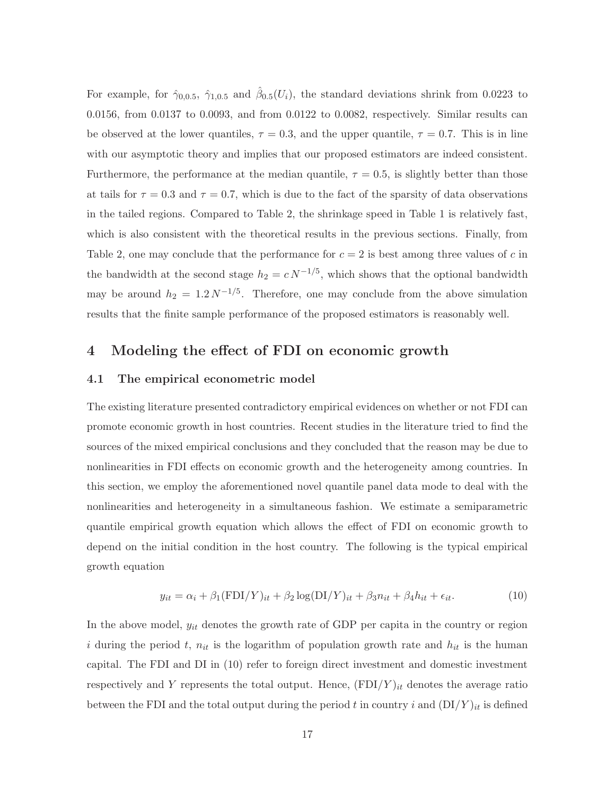For example, for  $\hat{\gamma}_{0,0.5}$ ,  $\hat{\gamma}_{1,0.5}$  and  $\hat{\beta}_{0.5}(U_i)$ , the standard deviations shrink from 0.0223 to 0.0156, from 0.0137 to 0.0093, and from 0.0122 to 0.0082, respectively. Similar results can be observed at the lower quantiles,  $\tau = 0.3$ , and the upper quantile,  $\tau = 0.7$ . This is in line with our asymptotic theory and implies that our proposed estimators are indeed consistent. Furthermore, the performance at the median quantile,  $\tau = 0.5$ , is slightly better than those at tails for  $\tau = 0.3$  and  $\tau = 0.7$ , which is due to the fact of the sparsity of data observations in the tailed regions. Compared to Table 2, the shrinkage speed in Table 1 is relatively fast, which is also consistent with the theoretical results in the previous sections. Finally, from Table 2, one may conclude that the performance for  $c = 2$  is best among three values of c in the bandwidth at the second stage  $h_2 = c N^{-1/5}$ , which shows that the optional bandwidth may be around  $h_2 = 1.2 N^{-1/5}$ . Therefore, one may conclude from the above simulation results that the finite sample performance of the proposed estimators is reasonably well.

### 4 Modeling the effect of FDI on economic growth

#### 4.1 The empirical econometric model

The existing literature presented contradictory empirical evidences on whether or not FDI can promote economic growth in host countries. Recent studies in the literature tried to find the sources of the mixed empirical conclusions and they concluded that the reason may be due to nonlinearities in FDI effects on economic growth and the heterogeneity among countries. In this section, we employ the aforementioned novel quantile panel data mode to deal with the nonlinearities and heterogeneity in a simultaneous fashion. We estimate a semiparametric quantile empirical growth equation which allows the effect of FDI on economic growth to depend on the initial condition in the host country. The following is the typical empirical growth equation

$$
y_{it} = \alpha_i + \beta_1 (\text{FDI}/Y)_{it} + \beta_2 \log(\text{DI}/Y)_{it} + \beta_3 n_{it} + \beta_4 h_{it} + \epsilon_{it}.
$$
 (10)

In the above model,  $y_{it}$  denotes the growth rate of GDP per capita in the country or region i during the period t,  $n_{it}$  is the logarithm of population growth rate and  $h_{it}$  is the human capital. The FDI and DI in (10) refer to foreign direct investment and domestic investment respectively and Y represents the total output. Hence,  $(FDI/Y)_{it}$  denotes the average ratio between the FDI and the total output during the period t in country i and  $(DI/Y)_{it}$  is defined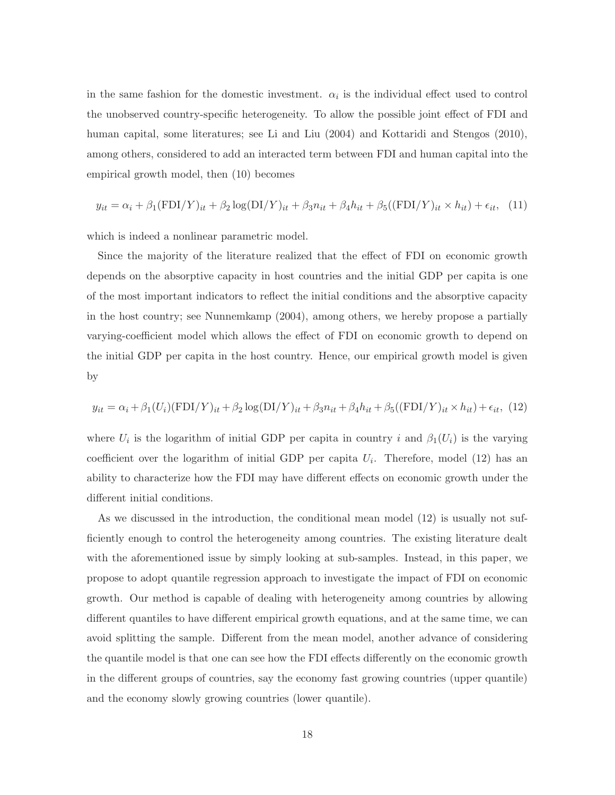in the same fashion for the domestic investment.  $\alpha_i$  is the individual effect used to control the unobserved country-specific heterogeneity. To allow the possible joint effect of FDI and human capital, some literatures; see Li and Liu (2004) and Kottaridi and Stengos (2010), among others, considered to add an interacted term between FDI and human capital into the empirical growth model, then (10) becomes

$$
y_{it} = \alpha_i + \beta_1 (\text{FDI}/Y)_{it} + \beta_2 \log(\text{DI}/Y)_{it} + \beta_3 n_{it} + \beta_4 h_{it} + \beta_5 ((\text{FDI}/Y)_{it} \times h_{it}) + \epsilon_{it}, \tag{11}
$$

which is indeed a nonlinear parametric model.

Since the majority of the literature realized that the effect of FDI on economic growth depends on the absorptive capacity in host countries and the initial GDP per capita is one of the most important indicators to reflect the initial conditions and the absorptive capacity in the host country; see Nunnemkamp (2004), among others, we hereby propose a partially varying-coefficient model which allows the effect of FDI on economic growth to depend on the initial GDP per capita in the host country. Hence, our empirical growth model is given by

$$
y_{it} = \alpha_i + \beta_1 (U_i)(\text{FDI}/Y)_{it} + \beta_2 \log(\text{DI}/Y)_{it} + \beta_3 n_{it} + \beta_4 h_{it} + \beta_5 ((\text{FDI}/Y)_{it} \times h_{it}) + \epsilon_{it}, (12)
$$

where  $U_i$  is the logarithm of initial GDP per capita in country i and  $\beta_1(U_i)$  is the varying coefficient over the logarithm of initial GDP per capita  $U_i$ . Therefore, model (12) has an ability to characterize how the FDI may have different effects on economic growth under the different initial conditions.

As we discussed in the introduction, the conditional mean model (12) is usually not sufficiently enough to control the heterogeneity among countries. The existing literature dealt with the aforementioned issue by simply looking at sub-samples. Instead, in this paper, we propose to adopt quantile regression approach to investigate the impact of FDI on economic growth. Our method is capable of dealing with heterogeneity among countries by allowing different quantiles to have different empirical growth equations, and at the same time, we can avoid splitting the sample. Different from the mean model, another advance of considering the quantile model is that one can see how the FDI effects differently on the economic growth in the different groups of countries, say the economy fast growing countries (upper quantile) and the economy slowly growing countries (lower quantile).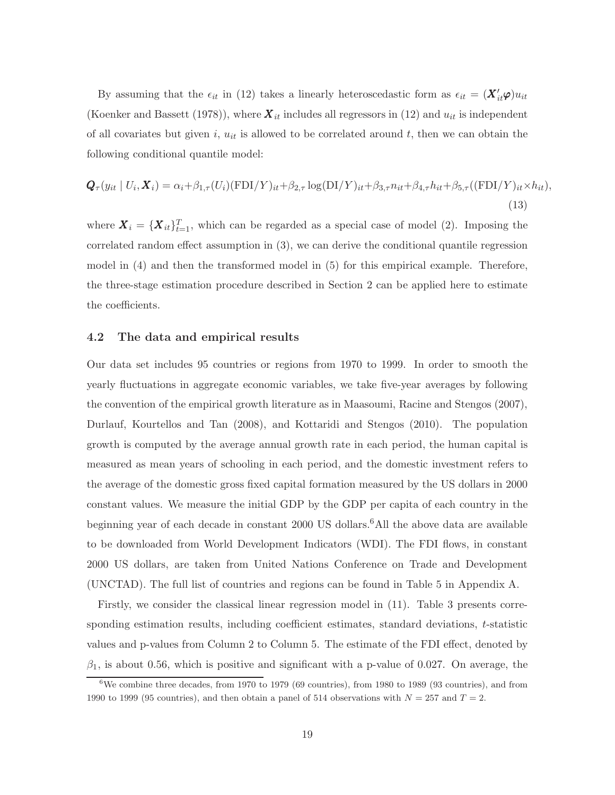By assuming that the  $\epsilon_{it}$  in (12) takes a linearly heteroscedastic form as  $\epsilon_{it} = (\mathbf{X}'_{it} \boldsymbol{\varphi}) u_{it}$ (Koenker and Bassett (1978)), where  $\boldsymbol{X}_{it}$  includes all regressors in (12) and  $u_{it}$  is independent of all covariates but given i,  $u_{it}$  is allowed to be correlated around t, then we can obtain the following conditional quantile model:

$$
\mathbf{Q}_{\tau}(y_{it} | U_i, \mathbf{X}_i) = \alpha_i + \beta_{1,\tau}(U_i)(\text{FDI}/Y)_{it} + \beta_{2,\tau} \log(\text{DI}/Y)_{it} + \beta_{3,\tau} n_{it} + \beta_{4,\tau} h_{it} + \beta_{5,\tau}((\text{FDI}/Y)_{it} \times h_{it}),
$$
\n(13)

where  $\mathbf{X}_i = {\mathbf{X}_{it}}_{t=1}^T$ , which can be regarded as a special case of model (2). Imposing the correlated random effect assumption in (3), we can derive the conditional quantile regression model in (4) and then the transformed model in (5) for this empirical example. Therefore, the three-stage estimation procedure described in Section 2 can be applied here to estimate the coefficients.

#### 4.2 The data and empirical results

Our data set includes 95 countries or regions from 1970 to 1999. In order to smooth the yearly fluctuations in aggregate economic variables, we take five-year averages by following the convention of the empirical growth literature as in Maasoumi, Racine and Stengos (2007), Durlauf, Kourtellos and Tan (2008), and Kottaridi and Stengos (2010). The population growth is computed by the average annual growth rate in each period, the human capital is measured as mean years of schooling in each period, and the domestic investment refers to the average of the domestic gross fixed capital formation measured by the US dollars in 2000 constant values. We measure the initial GDP by the GDP per capita of each country in the beginning year of each decade in constant 2000 US dollars.<sup>6</sup>All the above data are available to be downloaded from World Development Indicators (WDI). The FDI flows, in constant 2000 US dollars, are taken from United Nations Conference on Trade and Development (UNCTAD). The full list of countries and regions can be found in Table 5 in Appendix A.

Firstly, we consider the classical linear regression model in (11). Table 3 presents corresponding estimation results, including coefficient estimates, standard deviations, t-statistic values and p-values from Column 2 to Column 5. The estimate of the FDI effect, denoted by  $\beta_1$ , is about 0.56, which is positive and significant with a p-value of 0.027. On average, the

 $6\text{We combine three decades, from } 1970 \text{ to } 1979 \text{ (69 countries), from } 1980 \text{ to } 1989 \text{ (93 countries), and from } 1980 \text{ to } 1989 \text{ (95 countries)}$ 1990 to 1999 (95 countries), and then obtain a panel of 514 observations with  $N = 257$  and  $T = 2$ .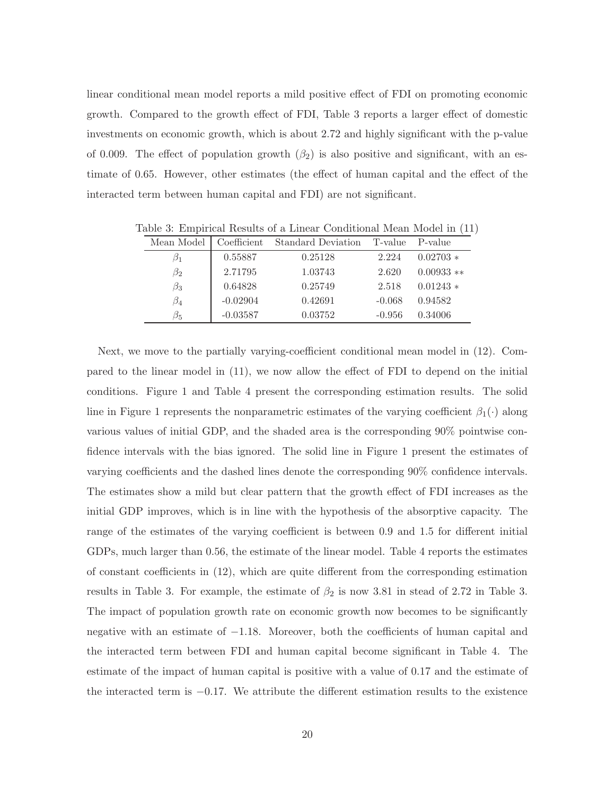linear conditional mean model reports a mild positive effect of FDI on promoting economic growth. Compared to the growth effect of FDI, Table 3 reports a larger effect of domestic investments on economic growth, which is about 2.72 and highly significant with the p-value of 0.009. The effect of population growth  $(\beta_2)$  is also positive and significant, with an estimate of 0.65. However, other estimates (the effect of human capital and the effect of the interacted term between human capital and FDI) are not significant.

| Mean Model | Coefficient | <b>Standard Deviation</b> | T-value  | P-value      |
|------------|-------------|---------------------------|----------|--------------|
| 13 J       | 0.55887     | 0.25128                   | 2.224    | $0.02703*$   |
| $\beta_2$  | 2.71795     | 1.03743                   | 2.620    | $0.00933$ ** |
| $\beta_3$  | 0.64828     | 0.25749                   | 2.518    | $0.01243*$   |
| $\beta_4$  | $-0.02904$  | 0.42691                   | $-0.068$ | 0.94582      |
| $\beta_5$  | $-0.03587$  | 0.03752                   | $-0.956$ | 0.34006      |

Table 3: Empirical Results of a Linear Conditional Mean Model in (11)

Next, we move to the partially varying-coefficient conditional mean model in (12). Compared to the linear model in (11), we now allow the effect of FDI to depend on the initial conditions. Figure 1 and Table 4 present the corresponding estimation results. The solid line in Figure 1 represents the nonparametric estimates of the varying coefficient  $\beta_1(\cdot)$  along various values of initial GDP, and the shaded area is the corresponding 90% pointwise confidence intervals with the bias ignored. The solid line in Figure 1 present the estimates of varying coefficients and the dashed lines denote the corresponding 90% confidence intervals. The estimates show a mild but clear pattern that the growth effect of FDI increases as the initial GDP improves, which is in line with the hypothesis of the absorptive capacity. The range of the estimates of the varying coefficient is between 0.9 and 1.5 for different initial GDPs, much larger than 0.56, the estimate of the linear model. Table 4 reports the estimates of constant coefficients in (12), which are quite different from the corresponding estimation results in Table 3. For example, the estimate of  $\beta_2$  is now 3.81 in stead of 2.72 in Table 3. The impact of population growth rate on economic growth now becomes to be significantly negative with an estimate of −1.18. Moreover, both the coefficients of human capital and the interacted term between FDI and human capital become significant in Table 4. The estimate of the impact of human capital is positive with a value of 0.17 and the estimate of the interacted term is −0.17. We attribute the different estimation results to the existence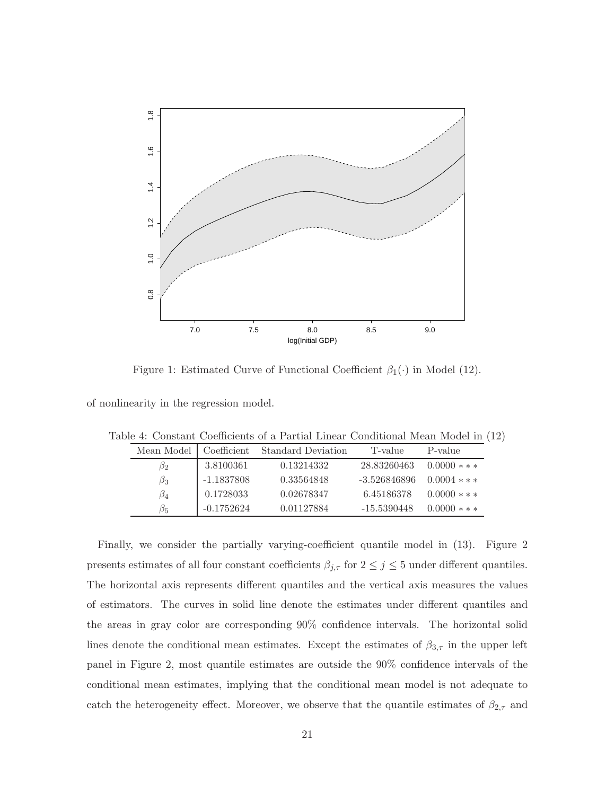

Figure 1: Estimated Curve of Functional Coefficient  $\beta_1(\cdot)$  in Model (12).

of nonlinearity in the regression model.

| Table 4: Constant Coefficients of a Partial Linear Conditional Mean Model in (12) |
|-----------------------------------------------------------------------------------|
|-----------------------------------------------------------------------------------|

| Mean Model | Coefficient  | <b>Standard Deviation</b> | T-value      | P-value        |
|------------|--------------|---------------------------|--------------|----------------|
| $\beta_2$  | 3.8100361    | 0.13214332                | 28.83260463  | $0.0000$ * * * |
| $\beta_3$  | $-1.1837808$ | 0.33564848                | -3.526846896 | $0.0004$ * * * |
| $\beta_4$  | 0.1728033    | 0.02678347                | 6.45186378   | $0.0000$ * * * |
| B5         | $-0.1752624$ | 0.01127884                | -15.5390448  | $0.0000$ * * * |

Finally, we consider the partially varying-coefficient quantile model in (13). Figure 2 presents estimates of all four constant coefficients  $\beta_{j,\tau}$  for  $2\leq j\leq 5$  under different quantiles. The horizontal axis represents different quantiles and the vertical axis measures the values of estimators. The curves in solid line denote the estimates under different quantiles and the areas in gray color are corresponding 90% confidence intervals. The horizontal solid lines denote the conditional mean estimates. Except the estimates of  $\beta_{3,\tau}$  in the upper left panel in Figure 2, most quantile estimates are outside the 90% confidence intervals of the conditional mean estimates, implying that the conditional mean model is not adequate to catch the heterogeneity effect. Moreover, we observe that the quantile estimates of  $\beta_{2,\tau}$  and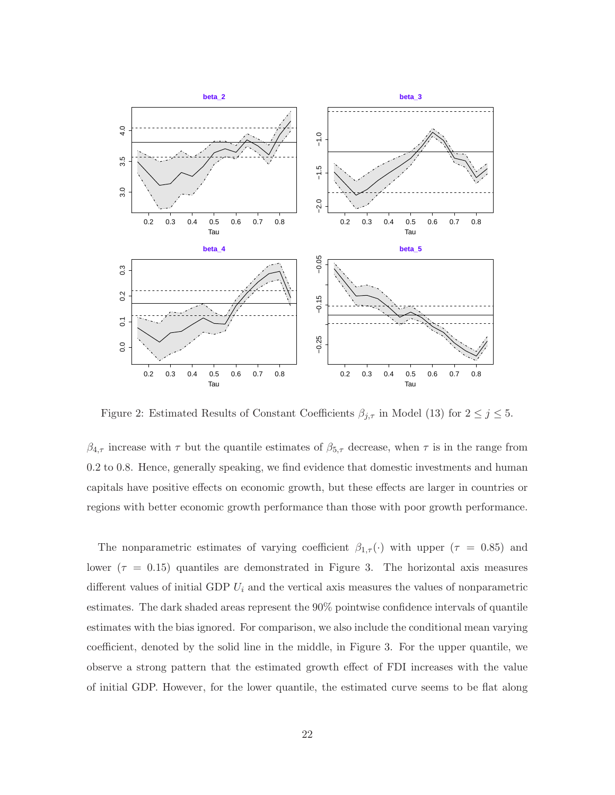

Figure 2: Estimated Results of Constant Coefficients  $\beta_{j,\tau}$  in Model (13) for  $2 \leq j \leq 5$ .

 $\beta_{4,\tau}$  increase with  $\tau$  but the quantile estimates of  $\beta_{5,\tau}$  decrease, when  $\tau$  is in the range from 0.2 to 0.8. Hence, generally speaking, we find evidence that domestic investments and human capitals have positive effects on economic growth, but these effects are larger in countries or regions with better economic growth performance than those with poor growth performance.

The nonparametric estimates of varying coefficient  $\beta_{1,\tau}(\cdot)$  with upper  $(\tau = 0.85)$  and lower ( $\tau = 0.15$ ) quantiles are demonstrated in Figure 3. The horizontal axis measures different values of initial GDP  $U_i$  and the vertical axis measures the values of nonparametric estimates. The dark shaded areas represent the 90% pointwise confidence intervals of quantile estimates with the bias ignored. For comparison, we also include the conditional mean varying coefficient, denoted by the solid line in the middle, in Figure 3. For the upper quantile, we observe a strong pattern that the estimated growth effect of FDI increases with the value of initial GDP. However, for the lower quantile, the estimated curve seems to be flat along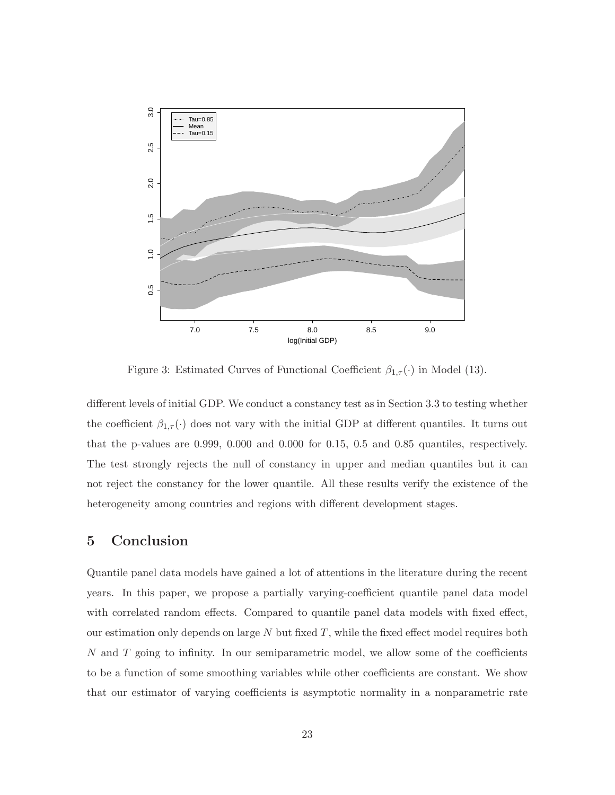

Figure 3: Estimated Curves of Functional Coefficient  $\beta_{1,\tau}(\cdot)$  in Model (13).

different levels of initial GDP. We conduct a constancy test as in Section 3.3 to testing whether the coefficient  $\beta_{1,\tau}(\cdot)$  does not vary with the initial GDP at different quantiles. It turns out that the p-values are 0.999, 0.000 and 0.000 for 0.15, 0.5 and 0.85 quantiles, respectively. The test strongly rejects the null of constancy in upper and median quantiles but it can not reject the constancy for the lower quantile. All these results verify the existence of the heterogeneity among countries and regions with different development stages.

### 5 Conclusion

Quantile panel data models have gained a lot of attentions in the literature during the recent years. In this paper, we propose a partially varying-coefficient quantile panel data model with correlated random effects. Compared to quantile panel data models with fixed effect, our estimation only depends on large  $N$  but fixed  $T$ , while the fixed effect model requires both N and T going to infinity. In our semiparametric model, we allow some of the coefficients to be a function of some smoothing variables while other coefficients are constant. We show that our estimator of varying coefficients is asymptotic normality in a nonparametric rate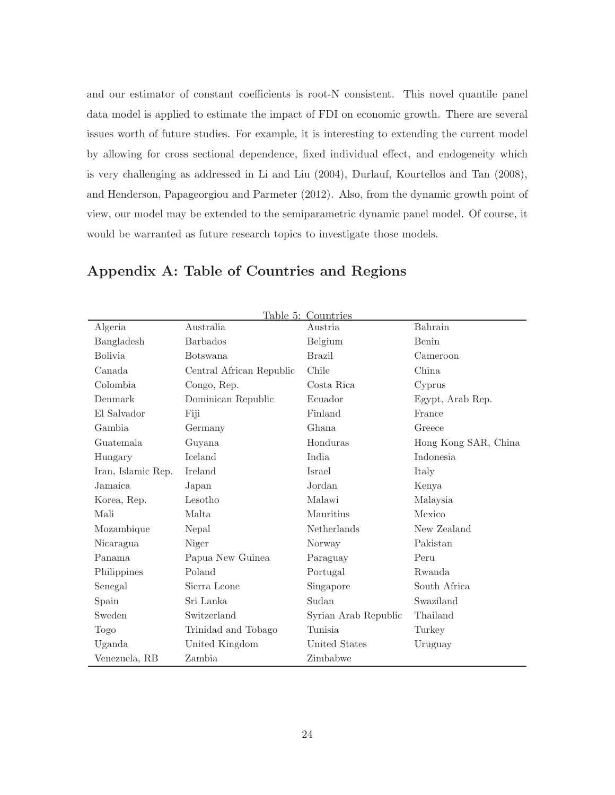and our estimator of constant coefficients is root-N consistent. This novel quantile panel data model is applied to estimate the impact of FDI on economic growth. There are several issues worth of future studies. For example, it is interesting to extending the current model by allowing for cross sectional dependence, fixed individual effect, and endogeneity which is very challenging as addressed in Li and Liu (2004), Durlauf, Kourtellos and Tan (2008), and Henderson, Papageorgiou and Parmeter (2012). Also, from the dynamic growth point of view, our model may be extended to the semiparametric dynamic panel model. Of course, it would be warranted as future research topics to investigate those models.

|                    |                          | Table 5: Countries   |                      |
|--------------------|--------------------------|----------------------|----------------------|
| Algeria            | Australia                | Austria              | Bahrain              |
| Bangladesh         | <b>Barbados</b>          | Belgium              | Benin                |
| <b>Bolivia</b>     | <b>Botswana</b>          | <b>Brazil</b>        | Cameroon             |
| Canada             | Central African Republic | Chile                | China                |
| Colombia           | Congo, Rep.              | Costa Rica           | Cyprus               |
| Denmark            | Dominican Republic       | Ecuador              | Egypt, Arab Rep.     |
| El Salvador        | Fiji                     | Finland              | France               |
| Gambia             | Germany                  | Ghana                | Greece               |
| Guatemala          | Guyana                   | Honduras             | Hong Kong SAR, China |
| Hungary            | Iceland                  | India                | Indonesia            |
| Iran, Islamic Rep. | Ireland                  | Israel               | Italy                |
| Jamaica            | Japan                    | Jordan               | Kenya                |
| Korea, Rep.        | Lesotho                  | Malawi               | Malaysia             |
| Mali               | Malta                    | Mauritius            | Mexico               |
| Mozambique         | Nepal                    | Netherlands          | New Zealand          |
| Nicaragua          | Niger                    | Norway               | Pakistan             |
| Panama             | Papua New Guinea         | Paraguay             | Peru                 |
| Philippines        | Poland                   | Portugal             | Rwanda               |
| Senegal            | Sierra Leone             | Singapore            | South Africa         |
| Spain              | Sri Lanka                | Sudan                | Swaziland            |
| Sweden             | Switzerland              | Syrian Arab Republic | Thailand             |
| Togo               | Trinidad and Tobago      | Tunisia              | Turkey               |
| Uganda             | United Kingdom           | United States        | Uruguay              |
| Venezuela, RB      | Zambia                   | Zimbabwe             |                      |

### Appendix A: Table of Countries and Regions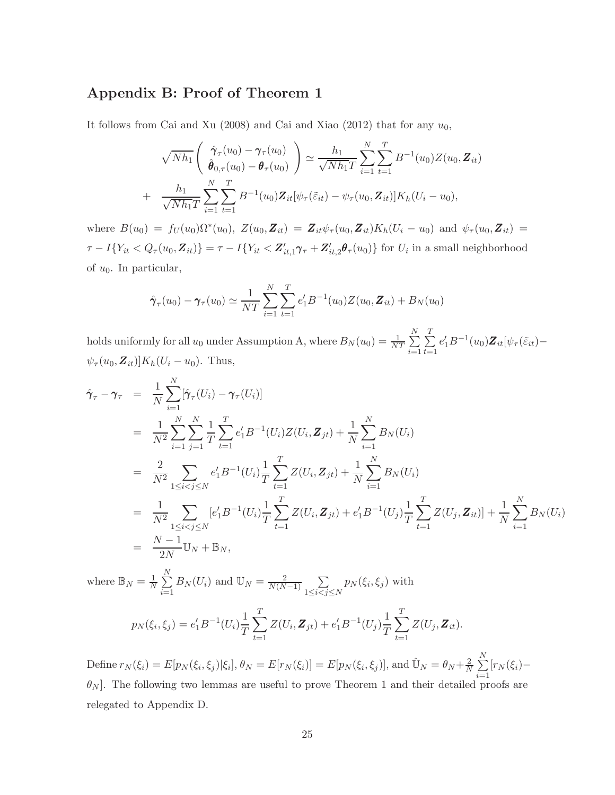### Appendix B: Proof of Theorem 1

It follows from Cai and Xu (2008) and Cai and Xiao (2012) that for any  $u_0$ ,

$$
\sqrt{Nh_1}\left(\begin{array}{c}\hat{\gamma}_{\tau}(u_0) - \gamma_{\tau}(u_0) \\ \hat{\theta}_{0,\tau}(u_0) - \theta_{\tau}(u_0)\end{array}\right) \simeq \frac{h_1}{\sqrt{Nh_1T}}\sum_{i=1}^N\sum_{t=1}^T B^{-1}(u_0)Z(u_0, \mathbf{Z}_{it})
$$
  
+ 
$$
\frac{h_1}{\sqrt{Nh_1T}}\sum_{i=1}^N\sum_{t=1}^T B^{-1}(u_0)\mathbf{Z}_{it}[\psi_{\tau}(\tilde{\varepsilon}_{it}) - \psi_{\tau}(u_0, \mathbf{Z}_{it})]K_h(U_i - u_0),
$$

where  $B(u_0) = f_U(u_0)\Omega^*(u_0), Z(u_0, \mathbf{Z}_{it}) = \mathbf{Z}_{it}\psi_\tau(u_0, \mathbf{Z}_{it})K_h(U_i - u_0)$  and  $\psi_\tau(u_0, \mathbf{Z}_{it}) =$  $\tau - I\{Y_{it} < Q_\tau(u_0, \mathbf{Z}_{it})\} = \tau - I\{Y_{it} < \mathbf{Z}_{it,1}'\pmb{\gamma}_\tau + \mathbf{Z}_{it,2}'\pmb{\theta}_\tau(u_0)\}\$  for  $U_i$  in a small neighborhood of  $u_0$ . In particular,

$$
\hat{\pmb{\gamma}}_{\tau}(u_0) - \pmb{\gamma}_{\tau}(u_0) \simeq \frac{1}{NT} \sum_{i=1}^{N} \sum_{t=1}^{T} e'_1 B^{-1}(u_0) Z(u_0, \pmb{Z}_{it}) + B_N(u_0)
$$

holds uniformly for all  $u_0$  under Assumption A, where  $B_N(u_0) = \frac{1}{NT} \sum_{n=1}^N$  $i=1$  $\frac{T}{\sum_{i=1}^{n}}$  $t=1$  $e'_1B^{-1}(u_0)\mathbf{Z}_{it}[\psi_\tau(\tilde{\varepsilon}_{it}) \psi_{\tau}(u_0,\mathbf{Z}_{it})]K_h(U_i-u_0)$ . Thus,

$$
\hat{\gamma}_{\tau} - \gamma_{\tau} = \frac{1}{N} \sum_{i=1}^{N} [\hat{\gamma}_{\tau}(U_{i}) - \gamma_{\tau}(U_{i})]
$$
\n
$$
= \frac{1}{N^{2}} \sum_{i=1}^{N} \sum_{j=1}^{N} \frac{1}{T} \sum_{t=1}^{T} e_{1}^{\prime} B^{-1}(U_{i}) Z(U_{i}, \mathbf{Z}_{jt}) + \frac{1}{N} \sum_{i=1}^{N} B_{N}(U_{i})
$$
\n
$$
= \frac{2}{N^{2}} \sum_{1 \leq i < j \leq N} e_{1}^{\prime} B^{-1}(U_{i}) \frac{1}{T} \sum_{t=1}^{T} Z(U_{i}, \mathbf{Z}_{jt}) + \frac{1}{N} \sum_{i=1}^{N} B_{N}(U_{i})
$$
\n
$$
= \frac{1}{N^{2}} \sum_{1 \leq i < j \leq N} [e_{1}^{\prime} B^{-1}(U_{i}) \frac{1}{T} \sum_{t=1}^{T} Z(U_{i}, \mathbf{Z}_{jt}) + e_{1}^{\prime} B^{-1}(U_{j}) \frac{1}{T} \sum_{t=1}^{T} Z(U_{j}, \mathbf{Z}_{it})] + \frac{1}{N} \sum_{i=1}^{N} B_{N}(U_{i})
$$
\n
$$
= \frac{N - 1}{2N} U_{N} + \mathbb{B}_{N},
$$
\nwhere  $\mathbb{B}_{N} = \frac{1}{N} \sum_{i=1}^{N} B_{N}(U_{i})$  and  $U_{N} = \frac{2}{N(N - 1)} \sum_{i \in N} p_{N}(\xi_{i}, \xi_{j})$  with

 $1\leq i < j \leq N$ 

$$
p_N(\xi_i, \xi_j) = e'_1 B^{-1}(U_i) \frac{1}{T} \sum_{t=1}^T Z(U_i, \mathbf{Z}_{jt}) + e'_1 B^{-1}(U_j) \frac{1}{T} \sum_{t=1}^T Z(U_j, \mathbf{Z}_{it}).
$$

 $i=1$ 

Define  $r_N(\xi_i) = E[p_N(\xi_i, \xi_j)|\xi_i], \theta_N = E[r_N(\xi_i)] = E[p_N(\xi_i, \xi_j)],$  and  $\hat{\mathbb{U}}_N = \theta_N + \frac{2}{N}$  $\frac{2}{N}$  $\sum_{n=1}^{N}$  $\sum_{i=1} [r_N(\xi_i) \theta_N$ . The following two lemmas are useful to prove Theorem 1 and their detailed proofs are relegated to Appendix D.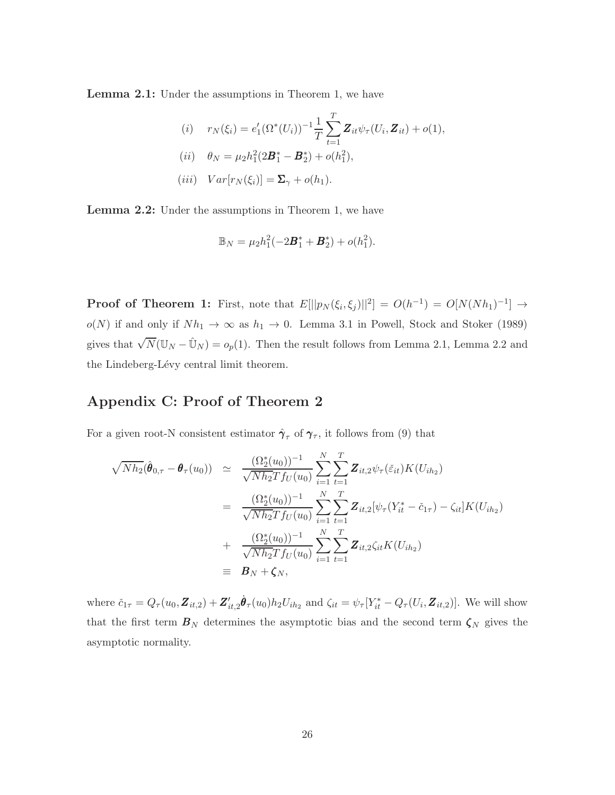Lemma 2.1: Under the assumptions in Theorem 1, we have

(i) 
$$
r_N(\xi_i) = e'_1(\Omega^*(U_i))^{-1} \frac{1}{T} \sum_{t=1}^T \mathbf{Z}_{it} \psi_\tau(U_i, \mathbf{Z}_{it}) + o(1),
$$
  
\n(ii)  $\theta_N = \mu_2 h_1^2(2\mathbf{B}_1^* - \mathbf{B}_2^*) + o(h_1^2),$   
\n(iii)  $Var[r_N(\xi_i)] = \mathbf{\Sigma}_{\gamma} + o(h_1).$ 

Lemma 2.2: Under the assumptions in Theorem 1, we have

$$
\mathbb{B}_N = \mu_2 h_1^2(-2\boldsymbol{B}_1^* + \boldsymbol{B}_2^*) + o(h_1^2).
$$

**Proof of Theorem 1:** First, note that  $E[||p_N(\xi_i, \xi_j)||^2] = O(h^{-1}) = O[N(Nh_1)^{-1}] \rightarrow$  $o(N)$  if and only if  $Nh_1 \rightarrow \infty$  as  $h_1 \rightarrow 0$ . Lemma 3.1 in Powell, Stock and Stoker (1989) gives that  $\sqrt{N}(\mathbb{U}_N - \hat{\mathbb{U}}_N) = o_p(1)$ . Then the result follows from Lemma 2.1, Lemma 2.2 and the Lindeberg-Lévy central limit theorem.

### Appendix C: Proof of Theorem 2

For a given root-N consistent estimator  $\hat{\gamma}_{\tau}$  of  $\gamma_{\tau}$ , it follows from (9) that

$$
\sqrt{Nh_2}(\hat{\boldsymbol{\theta}}_{0,\tau} - \boldsymbol{\theta}_{\tau}(u_0)) \simeq \frac{(\Omega_2^*(u_0))^{-1}}{\sqrt{Nh_2}Tf_U(u_0)} \sum_{i=1}^N \sum_{t=1}^T \mathbf{Z}_{it,2} \psi_{\tau}(\tilde{\varepsilon}_{it}) K(U_{ih_2})
$$
  
\n
$$
= \frac{(\Omega_2^*(u_0))^{-1}}{\sqrt{Nh_2}Tf_U(u_0)} \sum_{i=1}^N \sum_{t=1}^T \mathbf{Z}_{it,2}[\psi_{\tau}(Y_{it}^* - \tilde{c}_{1\tau}) - \zeta_{it}] K(U_{ih_2})
$$
  
\n
$$
+ \frac{(\Omega_2^*(u_0))^{-1}}{\sqrt{Nh_2}Tf_U(u_0)} \sum_{i=1}^N \sum_{t=1}^T \mathbf{Z}_{it,2} \zeta_{it} K(U_{ih_2})
$$
  
\n
$$
\equiv \mathbf{B}_N + \zeta_N,
$$

where  $\check{c}_{1\tau} = Q_{\tau}(u_0, \mathbf{Z}_{it,2}) + \mathbf{Z}_{it,2}' \dot{\theta}_{\tau}(u_0) h_2 U_{ih_2}$  and  $\zeta_{it} = \psi_{\tau} [Y_{it}^* - Q_{\tau}(U_i, \mathbf{Z}_{it,2})]$ . We will show that the first term  $B_N$  determines the asymptotic bias and the second term  $\zeta_N$  gives the asymptotic normality.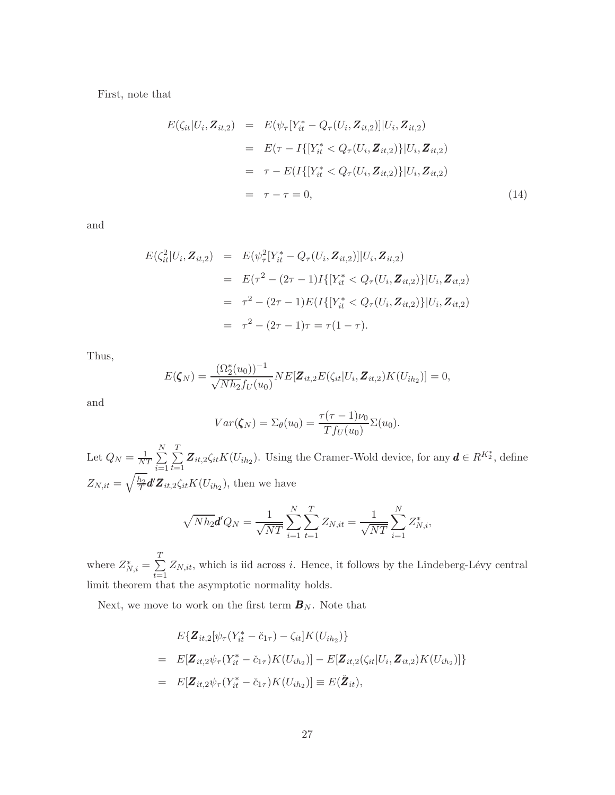First, note that

$$
E(\zeta_{it}|U_i, \mathbf{Z}_{it,2}) = E(\psi_{\tau}[Y_{it}^* - Q_{\tau}(U_i, \mathbf{Z}_{it,2})]|U_i, \mathbf{Z}_{it,2})
$$
  
\n
$$
= E(\tau - I\{[Y_{it}^* < Q_{\tau}(U_i, \mathbf{Z}_{it,2})\}|U_i, \mathbf{Z}_{it,2})
$$
  
\n
$$
= \tau - E(I\{[Y_{it}^* < Q_{\tau}(U_i, \mathbf{Z}_{it,2})\}|U_i, \mathbf{Z}_{it,2})
$$
  
\n
$$
= \tau - \tau = 0,
$$
\n(14)

and

$$
E(\zeta_{it}^2 | U_i, \mathbf{Z}_{it,2}) = E(\psi_{\tau}^2 [Y_{it}^* - Q_{\tau}(U_i, \mathbf{Z}_{it,2})] | U_i, \mathbf{Z}_{it,2})
$$
  
\n
$$
= E(\tau^2 - (2\tau - 1)I\{[Y_{it}^* < Q_{\tau}(U_i, \mathbf{Z}_{it,2})\}] | U_i, \mathbf{Z}_{it,2})
$$
  
\n
$$
= \tau^2 - (2\tau - 1)E(I\{[Y_{it}^* < Q_{\tau}(U_i, \mathbf{Z}_{it,2})\}] | U_i, \mathbf{Z}_{it,2})
$$
  
\n
$$
= \tau^2 - (2\tau - 1)\tau = \tau(1 - \tau).
$$

Thus,

$$
E(\zeta_N) = \frac{(\Omega_2^*(u_0))^{-1}}{\sqrt{Nh_2}f_U(u_0)}NE[\mathbf{Z}_{it,2}E(\zeta_{it}|U_i,\mathbf{Z}_{it,2})K(U_{ih_2})] = 0,
$$

and

$$
Var(\zeta_N) = \Sigma_{\theta}(u_0) = \frac{\tau(\tau - 1)\nu_0}{Tf_U(u_0)}\Sigma(u_0).
$$

Let  $Q_N = \frac{1}{N'}$  $\frac{1}{NT}$  $\sum_{n=1}^{N}$  $i=1$  $\frac{T}{\sum_{i=1}^{n}}$  $\sum_{t=1}^{I} \mathbf{Z}_{it,2} \zeta_{it} K(U_{ih_2})$ . Using the Cramer-Wold device, for any  $\boldsymbol{d} \in R^{K_2^*}$ , define  $Z_{N,it}=\sqrt{\frac{h_2}{T}}$  $\frac{h_2}{T}$ d'Z<sub>it,2</sub> $\zeta_{it} K(U_{ih_2})$ , then we have

$$
\sqrt{N h_2} \mathbf{d}' Q_N = \frac{1}{\sqrt{NT}} \sum_{i=1}^N \sum_{t=1}^T Z_{N, it} = \frac{1}{\sqrt{NT}} \sum_{i=1}^N Z_{N, i}^*,
$$

where  $Z_{N,i}^* = \sum_{i=1}^T$  $\sum_{t=1} Z_{N,it}$ , which is iid across *i*. Hence, it follows by the Lindeberg-Lévy central limit theorem that the asymptotic normality holds.

Next, we move to work on the first term  $\boldsymbol{B}_N$ . Note that

$$
E{\mathbf{Z}_{it,2}[\psi_{\tau}(Y_{it}^{*} - \check{c}_{1\tau}) - \zeta_{it}]K(U_{ih_{2}})}
$$
\n
$$
= E[\mathbf{Z}_{it,2}\psi_{\tau}(Y_{it}^{*} - \check{c}_{1\tau})K(U_{ih_{2}})] - E[\mathbf{Z}_{it,2}(\zeta_{it}|U_{i}, \mathbf{Z}_{it,2})K(U_{ih_{2}})]
$$
\n
$$
= E[\mathbf{Z}_{it,2}\psi_{\tau}(Y_{it}^{*} - \check{c}_{1\tau})K(U_{ih_{2}})] \equiv E(\check{\mathbf{Z}}_{it}),
$$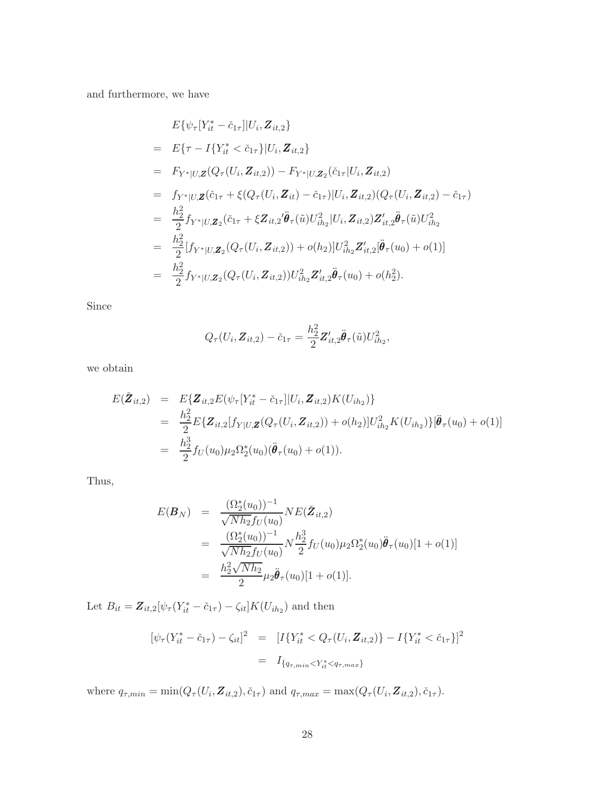and furthermore, we have

$$
E\{\psi_{\tau}[Y_{it}^{*}-\tilde{c}_{1\tau}][U_{i}, \mathbf{Z}_{it,2}\}\
$$
\n
$$
= E\{\tau - I\{Y_{it}^{*} < \tilde{c}_{1\tau}\}|U_{i}, \mathbf{Z}_{it,2}\}\
$$
\n
$$
= F_{Y^{*}|U,\mathbf{Z}}(Q_{\tau}(U_{i}, \mathbf{Z}_{it,2})) - F_{Y^{*}|U,\mathbf{Z}_{2}}(\tilde{c}_{1\tau}|U_{i}, \mathbf{Z}_{it,2})
$$
\n
$$
= f_{Y^{*}|U,\mathbf{Z}}(\tilde{c}_{1\tau} + \xi(Q_{\tau}(U_{i}, \mathbf{Z}_{it}) - \tilde{c}_{1\tau})|U_{i}, \mathbf{Z}_{it,2})(Q_{\tau}(U_{i}, \mathbf{Z}_{it,2}) - \tilde{c}_{1\tau})
$$
\n
$$
= \frac{h_{2}^{2}}{2} f_{Y^{*}|U,\mathbf{Z}_{2}}(\tilde{c}_{1\tau} + \xi \mathbf{Z}_{it,2}' \ddot{\boldsymbol{\theta}}_{\tau}(\tilde{u}) U_{ih_{2}}^{2}|U_{i}, \mathbf{Z}_{it,2}) \mathbf{Z}'_{it,2} \ddot{\boldsymbol{\theta}}_{\tau}(\tilde{u}) U_{ih_{2}}^{2}
$$
\n
$$
= \frac{h_{2}^{2}}{2} [f_{Y^{*}|U,\mathbf{Z}_{2}}(Q_{\tau}(U_{i}, \mathbf{Z}_{it,2})) + o(h_{2})] U_{ih_{2}}^{2} \mathbf{Z}'_{it,2} [\ddot{\boldsymbol{\theta}}_{\tau}(u_{0}) + o(1)]
$$
\n
$$
= \frac{h_{2}^{2}}{2} f_{Y^{*}|U,\mathbf{Z}_{2}}(Q_{\tau}(U_{i}, \mathbf{Z}_{it,2})) U_{ih_{2}}^{2} \mathbf{Z}'_{it,2} \ddot{\boldsymbol{\theta}}_{\tau}(u_{0}) + o(h_{2}^{2}).
$$

Since

$$
Q_{\tau}(U_i, \mathbf{Z}_{it,2}) - \check{c}_{1\tau} = \frac{h_2^2}{2} \mathbf{Z}_{it,2}' \ddot{\boldsymbol{\theta}}_{\tau}(\tilde{u}) U_{ih_2}^2,
$$

we obtain

$$
E(\mathbf{\check{Z}}_{it,2}) = E\{\mathbf{Z}_{it,2}E(\psi_{\tau}[Y_{it}^{*} - \check{c}_{1\tau}||U_{i}, \mathbf{Z}_{it,2})K(U_{ih_{2}})\}\
$$
  
\n
$$
= \frac{h_{2}^{2}}{2}E\{\mathbf{Z}_{it,2}[f_{Y|U,\mathbf{Z}}(Q_{\tau}(U_{i}, \mathbf{Z}_{it,2})) + o(h_{2})]U_{ih_{2}}^{2}K(U_{ih_{2}})\{\mathbf{\ddot{\theta}}_{\tau}(u_{0}) + o(1)\}\
$$
  
\n
$$
= \frac{h_{2}^{3}}{2}f_{U}(u_{0})\mu_{2}\Omega_{2}^{*}(u_{0})(\mathbf{\ddot{\theta}}_{\tau}(u_{0}) + o(1)).
$$

Thus,

$$
E(\mathbf{B}_N) = \frac{(\Omega_2^*(u_0))^{-1}}{\sqrt{Nh_2}f_U(u_0)} NE(\check{\mathbf{Z}}_{it,2})
$$
  
\n
$$
= \frac{(\Omega_2^*(u_0))^{-1}}{\sqrt{Nh_2}f_U(u_0)} N \frac{h_2^3}{2} f_U(u_0) \mu_2 \Omega_2^*(u_0) \ddot{\theta}_\tau(u_0) [1 + o(1)]
$$
  
\n
$$
= \frac{h_2^2 \sqrt{Nh_2}}{2} \mu_2 \ddot{\theta}_\tau(u_0) [1 + o(1)].
$$

Let  $B_{it} = \mathbf{Z}_{it,2}[\psi_\tau(Y_{it}^* - \check{c}_{1\tau}) - \zeta_{it}]K(U_{ih_2})$  and then

$$
[\psi_{\tau}(Y_{it}^* - \check{c}_{1\tau}) - \zeta_{it}]^2 = [I\{Y_{it}^* < Q_{\tau}(U_i, \mathbf{Z}_{it,2})\} - I\{Y_{it}^* < \check{c}_{1\tau}\}]^2
$$
\n
$$
= I_{\{q_{\tau,min} < Y_{it}^* < q_{\tau,max}\}}
$$

where  $q_{\tau,min} = \min(Q_{\tau}(U_i, \mathbf{Z}_{it,2}), \check{c}_{1\tau})$  and  $q_{\tau,max} = \max(Q_{\tau}(U_i, \mathbf{Z}_{it,2}), \check{c}_{1\tau}).$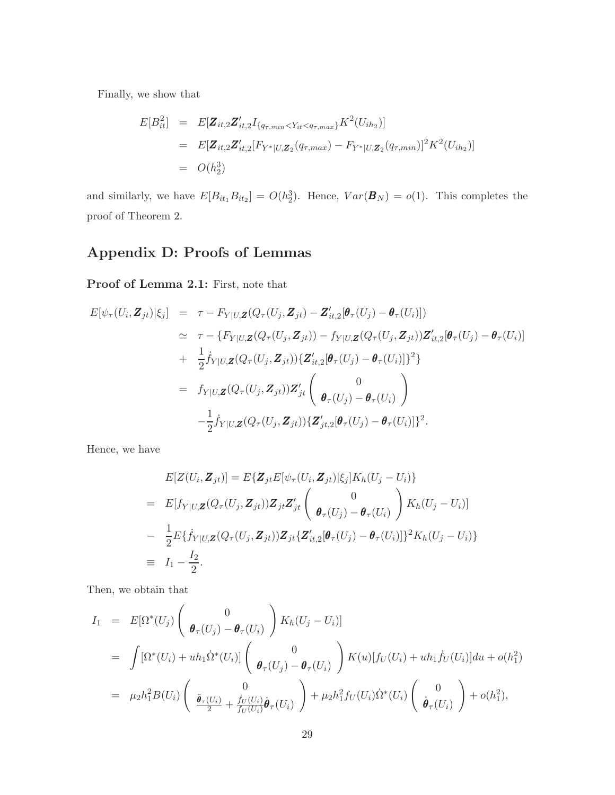Finally, we show that

$$
E[B_{it}^2] = E[\mathbf{Z}_{it,2}\mathbf{Z}'_{it,2}I_{\{q_{\tau,min} < Y_{it} < q_{\tau,max}\}}K^2(U_{ih_2})]
$$
\n
$$
= E[\mathbf{Z}_{it,2}\mathbf{Z}'_{it,2}[F_{Y^*|U,\mathbf{Z}_2}(q_{\tau,max}) - F_{Y^*|U,\mathbf{Z}_2}(q_{\tau,min})]^2K^2(U_{ih_2})]
$$
\n
$$
= O(h_2^3)
$$

and similarly, we have  $E[B_{it_1}B_{it_2}] = O(h_2^3)$ . Hence,  $Var(\mathbf{B}_N) = o(1)$ . This completes the proof of Theorem 2.

## Appendix D: Proofs of Lemmas

Proof of Lemma 2.1: First, note that

$$
E[\psi_{\tau}(U_i, \mathbf{Z}_{jt})|\xi_j] = \tau - F_{Y|U,\mathbf{Z}}(Q_{\tau}(U_j, \mathbf{Z}_{jt}) - \mathbf{Z}_{it,2}'[\boldsymbol{\theta}_{\tau}(U_j) - \boldsymbol{\theta}_{\tau}(U_i)])
$$
  
\n
$$
\approx \tau - \{F_{Y|U,\mathbf{Z}}(Q_{\tau}(U_j, \mathbf{Z}_{jt})) - f_{Y|U,\mathbf{Z}}(Q_{\tau}(U_j, \mathbf{Z}_{jt}))\mathbf{Z}_{it,2}'[\boldsymbol{\theta}_{\tau}(U_j) - \boldsymbol{\theta}_{\tau}(U_i)]
$$
  
\n
$$
+ \frac{1}{2}\dot{f}_{Y|U,\mathbf{Z}}(Q_{\tau}(U_j, \mathbf{Z}_{jt}))\{\mathbf{Z}_{it,2}'[\boldsymbol{\theta}_{\tau}(U_j) - \boldsymbol{\theta}_{\tau}(U_i)]\}^2\}
$$
  
\n
$$
= f_{Y|U,\mathbf{Z}}(Q_{\tau}(U_j, \mathbf{Z}_{jt}))\mathbf{Z}_{jt}'\begin{pmatrix} 0 \\ \boldsymbol{\theta}_{\tau}(U_j) - \boldsymbol{\theta}_{\tau}(U_i) \end{pmatrix}
$$
  
\n
$$
- \frac{1}{2}\dot{f}_{Y|U,\mathbf{Z}}(Q_{\tau}(U_j, \mathbf{Z}_{jt}))\{\mathbf{Z}_{jt,2}'[\boldsymbol{\theta}_{\tau}(U_j) - \boldsymbol{\theta}_{\tau}(U_i)]\}^2.
$$

Hence, we have

$$
E[Z(U_i, \mathbf{Z}_{jt})] = E\{\mathbf{Z}_{jt}E[\psi_\tau(U_i, \mathbf{Z}_{jt})|\xi_j]K_h(U_j - U_i)\}
$$
  
\n
$$
= E[f_{Y|U,\mathbf{Z}}(Q_\tau(U_j, \mathbf{Z}_{jt}))\mathbf{Z}_{jt}\mathbf{Z}_{jt}' \begin{pmatrix} 0 \\ \boldsymbol{\theta}_\tau(U_j) - \boldsymbol{\theta}_\tau(U_i) \end{pmatrix} K_h(U_j - U_i)]
$$
  
\n
$$
- \frac{1}{2}E\{\dot{f}_{Y|U,\mathbf{Z}}(Q_\tau(U_j, \mathbf{Z}_{jt}))\mathbf{Z}_{jt}\{\mathbf{Z}_{it,2}'[\boldsymbol{\theta}_\tau(U_j) - \boldsymbol{\theta}_\tau(U_i)]\}^2 K_h(U_j - U_i)\}
$$
  
\n
$$
\equiv I_1 - \frac{I_2}{2}.
$$

Then, we obtain that

$$
I_1 = E[\Omega^*(U_j) \begin{pmatrix} 0 \\ \boldsymbol{\theta}_\tau(U_j) - \boldsymbol{\theta}_\tau(U_i) \end{pmatrix} K_h(U_j - U_i)]
$$
  
\n
$$
= \int [\Omega^*(U_i) + uh_1 \dot{\Omega}^*(U_i)] \begin{pmatrix} 0 \\ \boldsymbol{\theta}_\tau(U_j) - \boldsymbol{\theta}_\tau(U_i) \end{pmatrix} K(u)[f_U(U_i) + uh_1 \dot{f}_U(U_i)]du + o(h_1^2)
$$
  
\n
$$
= \mu_2 h_1^2 B(U_i) \begin{pmatrix} 0 \\ \frac{\ddot{\boldsymbol{\theta}}_\tau(U_i)}{2} + \frac{\dot{f}_U(U_i)}{f_U(U_i)} \dot{\boldsymbol{\theta}}_\tau(U_i) \end{pmatrix} + \mu_2 h_1^2 f_U(U_i) \dot{\Omega}^*(U_i) \begin{pmatrix} 0 \\ \dot{\boldsymbol{\theta}}_\tau(U_i) \end{pmatrix} + o(h_1^2),
$$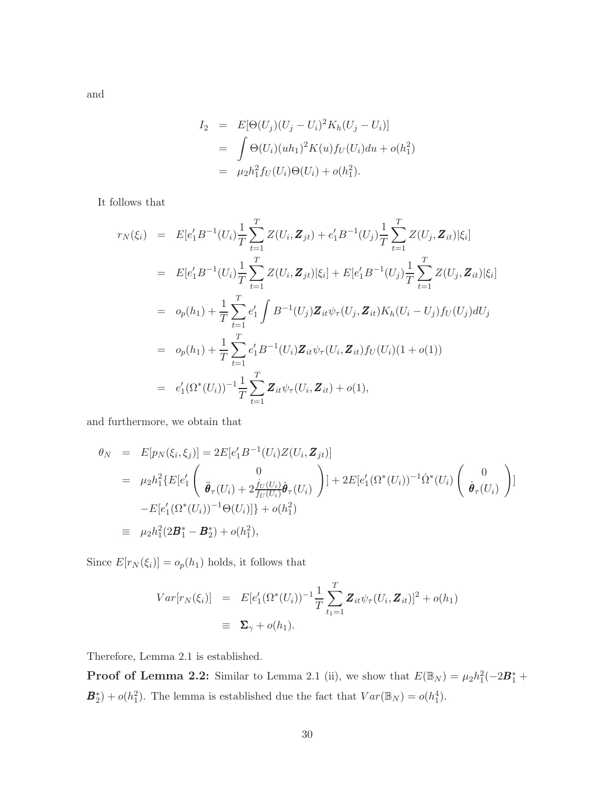and

$$
I_2 = E[\Theta(U_j)(U_j - U_i)^2 K_h (U_j - U_i)]
$$
  
= 
$$
\int \Theta(U_i)(uh_1)^2 K(u) f_U(U_i) du + o(h_1^2)
$$
  
= 
$$
\mu_2 h_1^2 f_U(U_i) \Theta(U_i) + o(h_1^2).
$$

It follows that

$$
r_N(\xi_i) = E[e'_1 B^{-1}(U_i) \frac{1}{T} \sum_{t=1}^T Z(U_i, \mathbf{Z}_{jt}) + e'_1 B^{-1}(U_j) \frac{1}{T} \sum_{t=1}^T Z(U_j, \mathbf{Z}_{it}) | \xi_i]
$$
  
\n
$$
= E[e'_1 B^{-1}(U_i) \frac{1}{T} \sum_{t=1}^T Z(U_i, \mathbf{Z}_{jt}) | \xi_i] + E[e'_1 B^{-1}(U_j) \frac{1}{T} \sum_{t=1}^T Z(U_j, \mathbf{Z}_{it}) | \xi_i]
$$
  
\n
$$
= o_p(h_1) + \frac{1}{T} \sum_{t=1}^T e'_1 \int B^{-1}(U_j) \mathbf{Z}_{it} \psi_\tau(U_j, \mathbf{Z}_{it}) K_h(U_i - U_j) f_U(U_j) dU_j
$$
  
\n
$$
= o_p(h_1) + \frac{1}{T} \sum_{t=1}^T e'_1 B^{-1}(U_i) \mathbf{Z}_{it} \psi_\tau(U_i, \mathbf{Z}_{it}) f_U(U_i) (1 + o(1))
$$
  
\n
$$
= e'_1 (\Omega^*(U_i))^{-1} \frac{1}{T} \sum_{t=1}^T \mathbf{Z}_{it} \psi_\tau(U_i, \mathbf{Z}_{it}) + o(1),
$$

and furthermore, we obtain that

$$
\theta_N = E[p_N(\xi_i, \xi_j)] = 2E[e'_1 B^{-1}(U_i) Z(U_i, \mathbf{Z}_{jt})]
$$
\n
$$
= \mu_2 h_1^2 \{ E[e'_1 \begin{pmatrix} 0 \\ \ddot{\boldsymbol{\theta}}_{\tau}(U_i) + 2 \frac{\dot{f}_U(U_i)}{f_U(U_i)} \dot{\boldsymbol{\theta}}_{\tau}(U_i) \end{pmatrix} ] + 2E[e'_1 (\Omega^*(U_i))^{-1} \dot{\Omega}^*(U_i) \begin{pmatrix} 0 \\ \dot{\boldsymbol{\theta}}_{\tau}(U_i) \end{pmatrix} ]
$$
\n
$$
-E[e'_1 (\Omega^*(U_i))^{-1} \Theta(U_i)] \} + o(h_1^2)
$$
\n
$$
\equiv \mu_2 h_1^2 (2\mathbf{B}_1^* - \mathbf{B}_2^*) + o(h_1^2),
$$

Since  $E[r_N(\xi_i)] = o_p(h_1)$  holds, it follows that

$$
Var[r_N(\xi_i)] = E[e'_1(\Omega^*(U_i))^{-1} \frac{1}{T} \sum_{t_1=1}^T \mathbf{Z}_{it} \psi_\tau(U_i, \mathbf{Z}_{it})]^2 + o(h_1)
$$
  

$$
\equiv \Sigma_\gamma + o(h_1).
$$

Therefore, Lemma 2.1 is established.

**Proof of Lemma 2.2:** Similar to Lemma 2.1 (ii), we show that  $E(\mathbb{B}_N) = \mu_2 h_1^2(-2\mathbf{B}_1^* +$  $\mathbf{B}_{2}^{*}$  +  $o(h_{1}^{2})$ . The lemma is established due the fact that  $Var(\mathbb{B}_{N}) = o(h_{1}^{4})$ .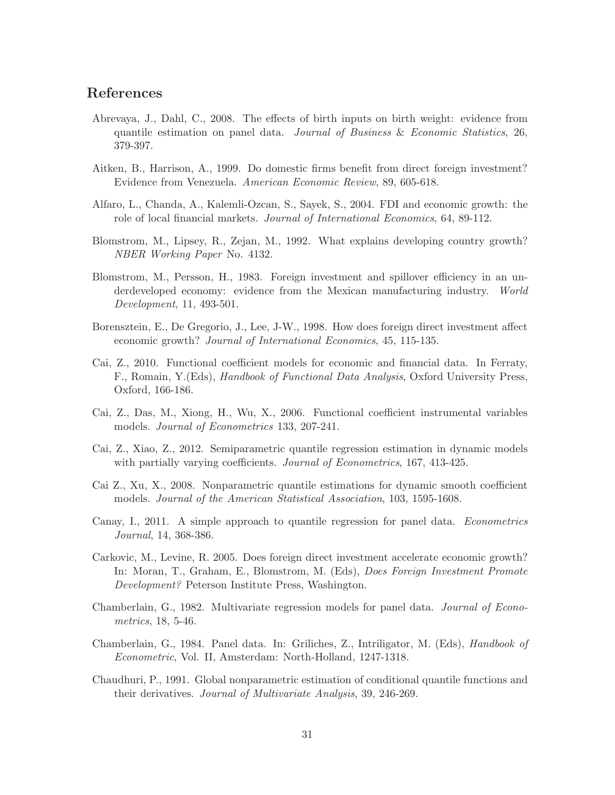### References

- Abrevaya, J., Dahl, C., 2008. The effects of birth inputs on birth weight: evidence from quantile estimation on panel data. Journal of Business & Economic Statistics, 26, 379-397.
- Aitken, B., Harrison, A., 1999. Do domestic firms benefit from direct foreign investment? Evidence from Venezuela. American Economic Review, 89, 605-618.
- Alfaro, L., Chanda, A., Kalemli-Ozcan, S., Sayek, S., 2004. FDI and economic growth: the role of local financial markets. Journal of International Economics, 64, 89-112.
- Blomstrom, M., Lipsey, R., Zejan, M., 1992. What explains developing country growth? NBER Working Paper No. 4132.
- Blomstrom, M., Persson, H., 1983. Foreign investment and spillover efficiency in an underdeveloped economy: evidence from the Mexican manufacturing industry. World Development, 11, 493-501.
- Borensztein, E., De Gregorio, J., Lee, J-W., 1998. How does foreign direct investment affect economic growth? Journal of International Economics, 45, 115-135.
- Cai, Z., 2010. Functional coefficient models for economic and financial data. In Ferraty, F., Romain, Y.(Eds), Handbook of Functional Data Analysis, Oxford University Press, Oxford, 166-186.
- Cai, Z., Das, M., Xiong, H., Wu, X., 2006. Functional coefficient instrumental variables models. Journal of Econometrics 133, 207-241.
- Cai, Z., Xiao, Z., 2012. Semiparametric quantile regression estimation in dynamic models with partially varying coefficients. Journal of Econometrics, 167, 413-425.
- Cai Z., Xu, X., 2008. Nonparametric quantile estimations for dynamic smooth coefficient models. Journal of the American Statistical Association, 103, 1595-1608.
- Canay, I., 2011. A simple approach to quantile regression for panel data. Econometrics Journal, 14, 368-386.
- Carkovic, M., Levine, R. 2005. Does foreign direct investment accelerate economic growth? In: Moran, T., Graham, E., Blomstrom, M. (Eds), Does Foreign Investment Promote Development? Peterson Institute Press, Washington.
- Chamberlain, G., 1982. Multivariate regression models for panel data. Journal of Econometrics, 18, 5-46.
- Chamberlain, G., 1984. Panel data. In: Griliches, Z., Intriligator, M. (Eds), Handbook of Econometric, Vol. II, Amsterdam: North-Holland, 1247-1318.
- Chaudhuri, P., 1991. Global nonparametric estimation of conditional quantile functions and their derivatives. Journal of Multivariate Analysis, 39, 246-269.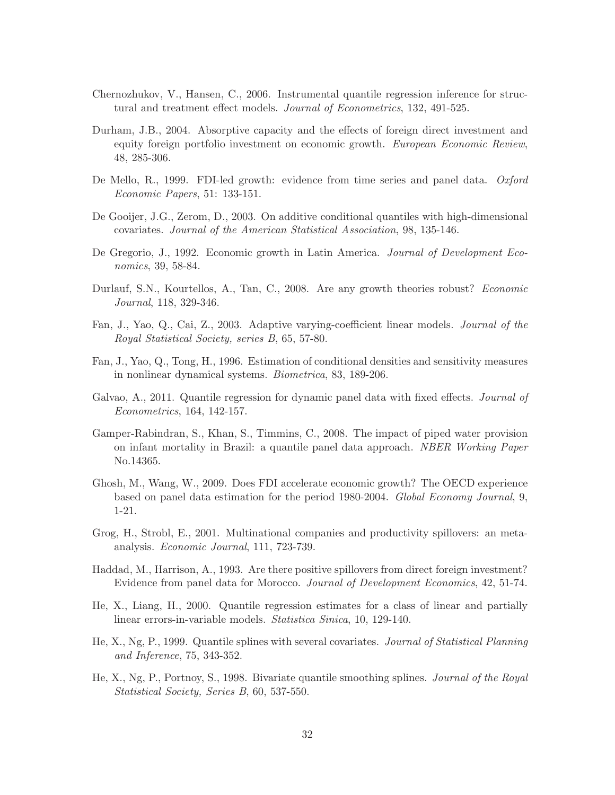- Chernozhukov, V., Hansen, C., 2006. Instrumental quantile regression inference for structural and treatment effect models. Journal of Econometrics, 132, 491-525.
- Durham, J.B., 2004. Absorptive capacity and the effects of foreign direct investment and equity foreign portfolio investment on economic growth. European Economic Review, 48, 285-306.
- De Mello, R., 1999. FDI-led growth: evidence from time series and panel data. *Oxford* Economic Papers, 51: 133-151.
- De Gooijer, J.G., Zerom, D., 2003. On additive conditional quantiles with high-dimensional covariates. Journal of the American Statistical Association, 98, 135-146.
- De Gregorio, J., 1992. Economic growth in Latin America. Journal of Development Economics, 39, 58-84.
- Durlauf, S.N., Kourtellos, A., Tan, C., 2008. Are any growth theories robust? Economic Journal, 118, 329-346.
- Fan, J., Yao, Q., Cai, Z., 2003. Adaptive varying-coefficient linear models. Journal of the Royal Statistical Society, series B, 65, 57-80.
- Fan, J., Yao, Q., Tong, H., 1996. Estimation of conditional densities and sensitivity measures in nonlinear dynamical systems. Biometrica, 83, 189-206.
- Galvao, A., 2011. Quantile regression for dynamic panel data with fixed effects. *Journal of* Econometrics, 164, 142-157.
- Gamper-Rabindran, S., Khan, S., Timmins, C., 2008. The impact of piped water provision on infant mortality in Brazil: a quantile panel data approach. NBER Working Paper No.14365.
- Ghosh, M., Wang, W., 2009. Does FDI accelerate economic growth? The OECD experience based on panel data estimation for the period 1980-2004. Global Economy Journal, 9, 1-21.
- Grog, H., Strobl, E., 2001. Multinational companies and productivity spillovers: an metaanalysis. Economic Journal, 111, 723-739.
- Haddad, M., Harrison, A., 1993. Are there positive spillovers from direct foreign investment? Evidence from panel data for Morocco. Journal of Development Economics, 42, 51-74.
- He, X., Liang, H., 2000. Quantile regression estimates for a class of linear and partially linear errors-in-variable models. Statistica Sinica, 10, 129-140.
- He, X., Ng, P., 1999. Quantile splines with several covariates. Journal of Statistical Planning and Inference, 75, 343-352.
- He, X., Ng, P., Portnoy, S., 1998. Bivariate quantile smoothing splines. Journal of the Royal Statistical Society, Series B, 60, 537-550.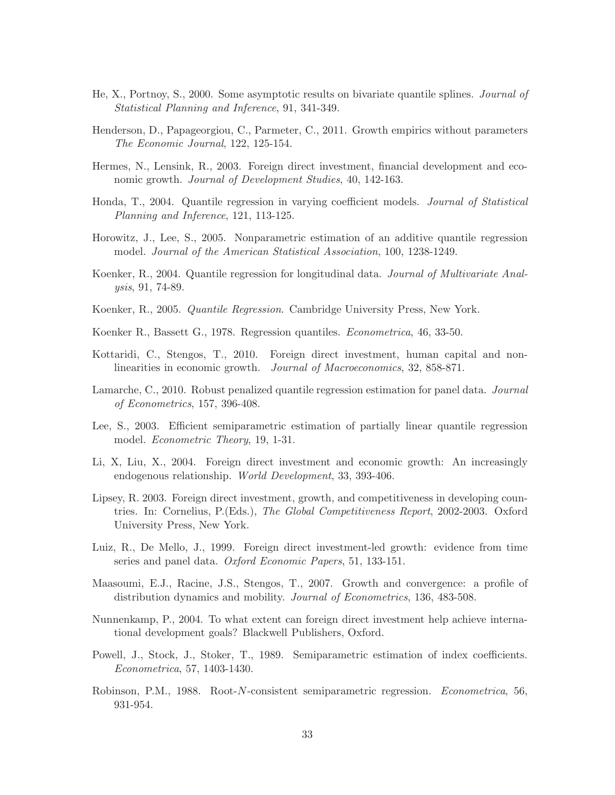- He, X., Portnoy, S., 2000. Some asymptotic results on bivariate quantile splines. Journal of Statistical Planning and Inference, 91, 341-349.
- Henderson, D., Papageorgiou, C., Parmeter, C., 2011. Growth empirics without parameters The Economic Journal, 122, 125-154.
- Hermes, N., Lensink, R., 2003. Foreign direct investment, financial development and economic growth. *Journal of Development Studies*, 40, 142-163.
- Honda, T., 2004. Quantile regression in varying coefficient models. Journal of Statistical Planning and Inference, 121, 113-125.
- Horowitz, J., Lee, S., 2005. Nonparametric estimation of an additive quantile regression model. Journal of the American Statistical Association, 100, 1238-1249.
- Koenker, R., 2004. Quantile regression for longitudinal data. Journal of Multivariate Analysis, 91, 74-89.
- Koenker, R., 2005. Quantile Regression. Cambridge University Press, New York.
- Koenker R., Bassett G., 1978. Regression quantiles. Econometrica, 46, 33-50.
- Kottaridi, C., Stengos, T., 2010. Foreign direct investment, human capital and nonlinearities in economic growth. Journal of Macroeconomics, 32, 858-871.
- Lamarche, C., 2010. Robust penalized quantile regression estimation for panel data. Journal of Econometrics, 157, 396-408.
- Lee, S., 2003. Efficient semiparametric estimation of partially linear quantile regression model. Econometric Theory, 19, 1-31.
- Li, X, Liu, X., 2004. Foreign direct investment and economic growth: An increasingly endogenous relationship. World Development, 33, 393-406.
- Lipsey, R. 2003. Foreign direct investment, growth, and competitiveness in developing countries. In: Cornelius, P.(Eds.), The Global Competitiveness Report, 2002-2003. Oxford University Press, New York.
- Luiz, R., De Mello, J., 1999. Foreign direct investment-led growth: evidence from time series and panel data. Oxford Economic Papers, 51, 133-151.
- Maasoumi, E.J., Racine, J.S., Stengos, T., 2007. Growth and convergence: a profile of distribution dynamics and mobility. Journal of Econometrics, 136, 483-508.
- Nunnenkamp, P., 2004. To what extent can foreign direct investment help achieve international development goals? Blackwell Publishers, Oxford.
- Powell, J., Stock, J., Stoker, T., 1989. Semiparametric estimation of index coefficients. Econometrica, 57, 1403-1430.
- Robinson, P.M., 1988. Root-N-consistent semiparametric regression. Econometrica, 56, 931-954.